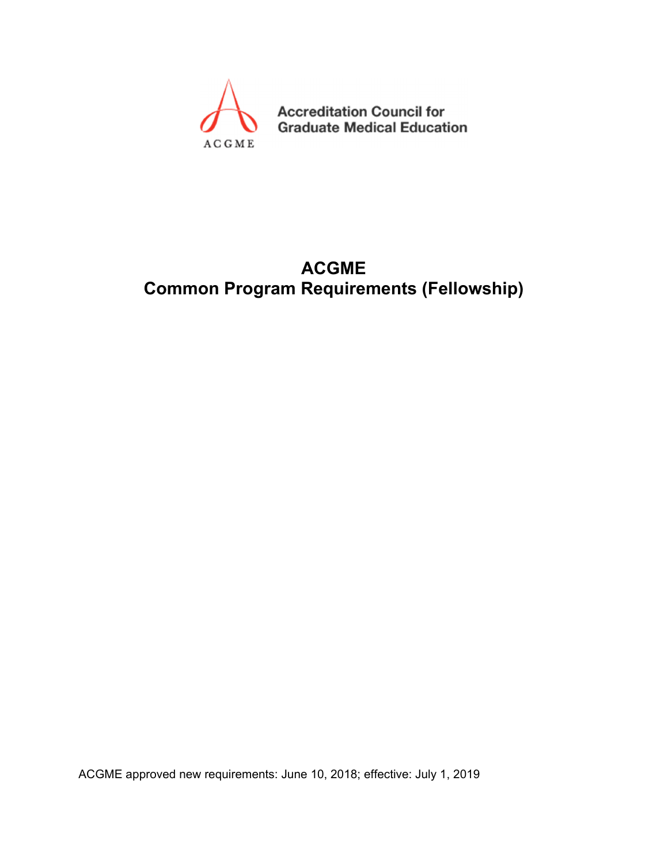

**Accreditation Council for Graduate Medical Education** 

# **ACGME Common Program Requirements (Fellowship)**

ACGME approved new requirements: June 10, 2018; effective: July 1, 2019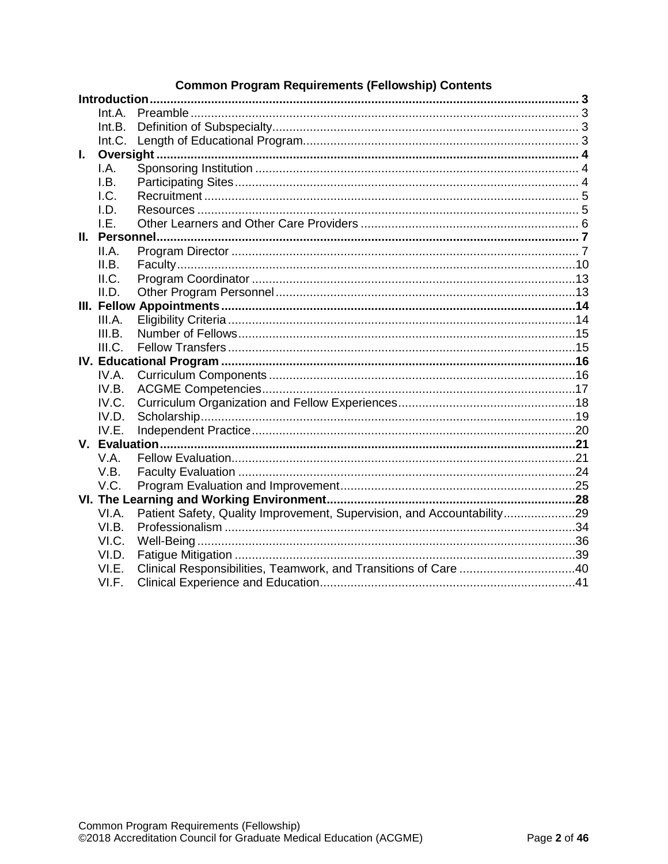# **Common Program Requirements (Fellowship) Contents**

|    | Int.A. |                                                                        |  |
|----|--------|------------------------------------------------------------------------|--|
|    | Int.B. |                                                                        |  |
|    | Int.C. |                                                                        |  |
| I. |        |                                                                        |  |
|    | I.A.   |                                                                        |  |
|    | I.B.   |                                                                        |  |
|    | LC.    |                                                                        |  |
|    | LD.    |                                                                        |  |
|    | LE.    |                                                                        |  |
|    |        |                                                                        |  |
|    | II.A.  |                                                                        |  |
|    | II.B.  |                                                                        |  |
|    | II.C.  |                                                                        |  |
|    | II.D.  |                                                                        |  |
|    |        |                                                                        |  |
|    | III.A. |                                                                        |  |
|    | III.B. |                                                                        |  |
|    | III.C. |                                                                        |  |
|    |        |                                                                        |  |
|    | IV.A.  |                                                                        |  |
|    | IV.B.  |                                                                        |  |
|    | IV.C.  |                                                                        |  |
|    | IV.D.  |                                                                        |  |
|    | IV.E.  |                                                                        |  |
|    |        |                                                                        |  |
|    | V.A.   |                                                                        |  |
|    | V.B.   |                                                                        |  |
|    | V.C.   |                                                                        |  |
|    |        |                                                                        |  |
|    | VI.A.  | Patient Safety, Quality Improvement, Supervision, and Accountability29 |  |
|    | VI.B.  |                                                                        |  |
|    | VI.C.  |                                                                        |  |
|    | VI.D.  |                                                                        |  |
|    | VI.E.  | Clinical Responsibilities, Teamwork, and Transitions of Care 40        |  |
|    | VI.F.  |                                                                        |  |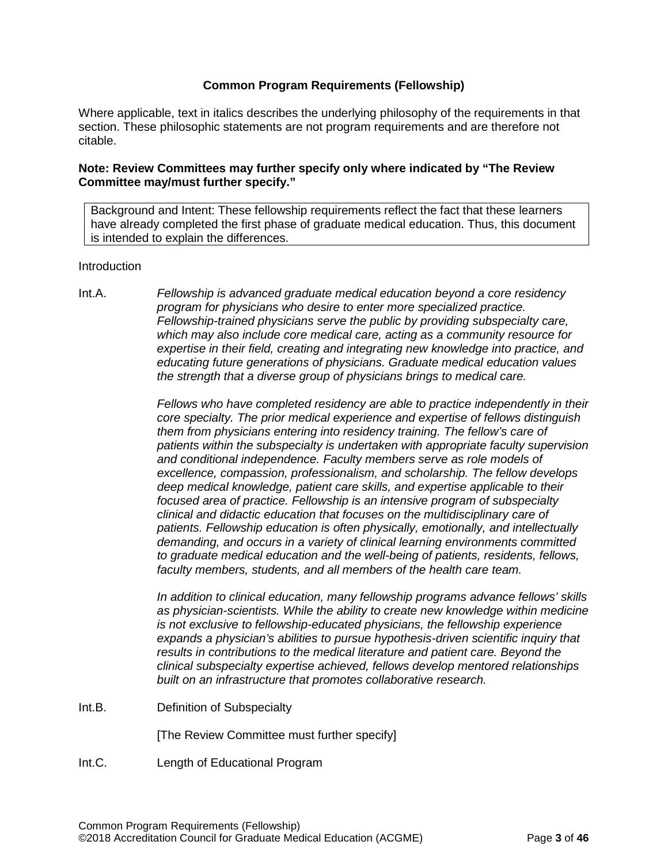# **Common Program Requirements (Fellowship)**

Where applicable, text in italics describes the underlying philosophy of the requirements in that section. These philosophic statements are not program requirements and are therefore not citable.

# **Note: Review Committees may further specify only where indicated by "The Review Committee may/must further specify."**

Background and Intent: These fellowship requirements reflect the fact that these learners have already completed the first phase of graduate medical education. Thus, this document is intended to explain the differences.

#### <span id="page-2-0"></span>**Introduction**

<span id="page-2-1"></span>Int.A. *Fellowship is advanced graduate medical education beyond a core residency program for physicians who desire to enter more specialized practice. Fellowship-trained physicians serve the public by providing subspecialty care, which may also include core medical care, acting as a community resource for expertise in their field, creating and integrating new knowledge into practice, and educating future generations of physicians. Graduate medical education values the strength that a diverse group of physicians brings to medical care.*

> *Fellows who have completed residency are able to practice independently in their core specialty. The prior medical experience and expertise of fellows distinguish them from physicians entering into residency training. The fellow's care of patients within the subspecialty is undertaken with appropriate faculty supervision and conditional independence. Faculty members serve as role models of excellence, compassion, professionalism, and scholarship. The fellow develops deep medical knowledge, patient care skills, and expertise applicable to their focused area of practice. Fellowship is an intensive program of subspecialty clinical and didactic education that focuses on the multidisciplinary care of patients. Fellowship education is often physically, emotionally, and intellectually demanding, and occurs in a variety of clinical learning environments committed to graduate medical education and the well-being of patients, residents, fellows, faculty members, students, and all members of the health care team.*

> *In addition to clinical education, many fellowship programs advance fellows' skills as physician-scientists. While the ability to create new knowledge within medicine is not exclusive to fellowship-educated physicians, the fellowship experience expands a physician's abilities to pursue hypothesis-driven scientific inquiry that results in contributions to the medical literature and patient care. Beyond the clinical subspecialty expertise achieved, fellows develop mentored relationships built on an infrastructure that promotes collaborative research.*

<span id="page-2-2"></span>Int.B. Definition of Subspecialty

[The Review Committee must further specify]

<span id="page-2-3"></span>Int.C. Length of Educational Program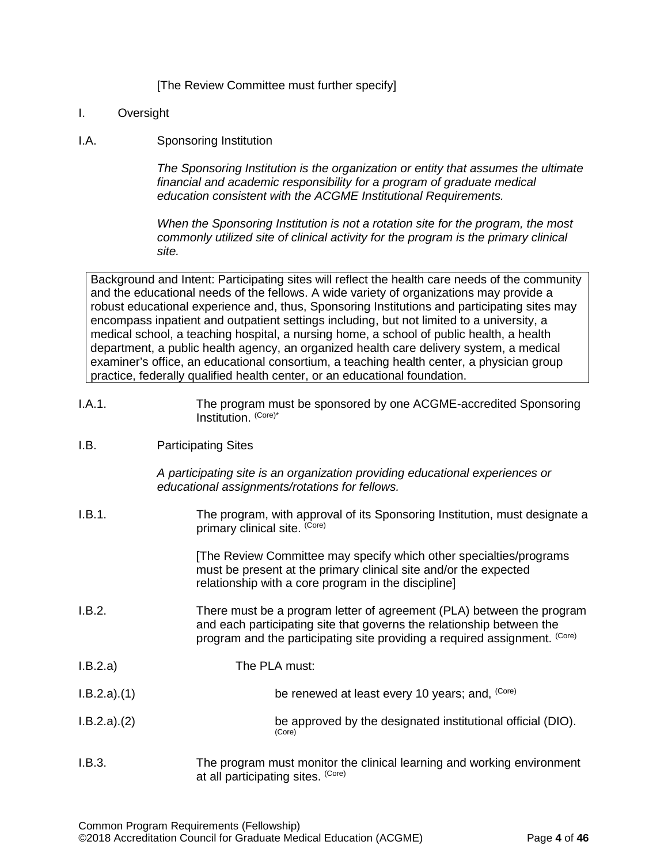# [The Review Committee must further specify]

# <span id="page-3-0"></span>I. Oversight

# <span id="page-3-1"></span>I.A. Sponsoring Institution

*The Sponsoring Institution is the organization or entity that assumes the ultimate financial and academic responsibility for a program of graduate medical education consistent with the ACGME Institutional Requirements.*

*When the Sponsoring Institution is not a rotation site for the program, the most commonly utilized site of clinical activity for the program is the primary clinical site.*

Background and Intent: Participating sites will reflect the health care needs of the community and the educational needs of the fellows. A wide variety of organizations may provide a robust educational experience and, thus, Sponsoring Institutions and participating sites may encompass inpatient and outpatient settings including, but not limited to a university, a medical school, a teaching hospital, a nursing home, a school of public health, a health department, a public health agency, an organized health care delivery system, a medical examiner's office, an educational consortium, a teaching health center, a physician group practice, federally qualified health center, or an educational foundation.

I.A.1. The program must be sponsored by one ACGME-accredited Sponsoring Institution. (Core)\*

# <span id="page-3-2"></span>I.B. Participating Sites

*A participating site is an organization providing educational experiences or educational assignments/rotations for fellows.*

| I.B.1.      | The program, with approval of its Sponsoring Institution, must designate a<br>primary clinical site. (Core)                                                                                                                  |
|-------------|------------------------------------------------------------------------------------------------------------------------------------------------------------------------------------------------------------------------------|
|             | [The Review Committee may specify which other specialties/programs<br>must be present at the primary clinical site and/or the expected<br>relationship with a core program in the discipline]                                |
| I.B.2.      | There must be a program letter of agreement (PLA) between the program<br>and each participating site that governs the relationship between the<br>program and the participating site providing a required assignment. (Core) |
| I.B.2.a)    | The PLA must:                                                                                                                                                                                                                |
| I.B.2.a)(1) | be renewed at least every 10 years; and, (Core)                                                                                                                                                                              |
| I.B.2.a)(2) | be approved by the designated institutional official (DIO).<br>(Core)                                                                                                                                                        |
| I.B.3.      | The program must monitor the clinical learning and working environment                                                                                                                                                       |

at all participating sites. (Core)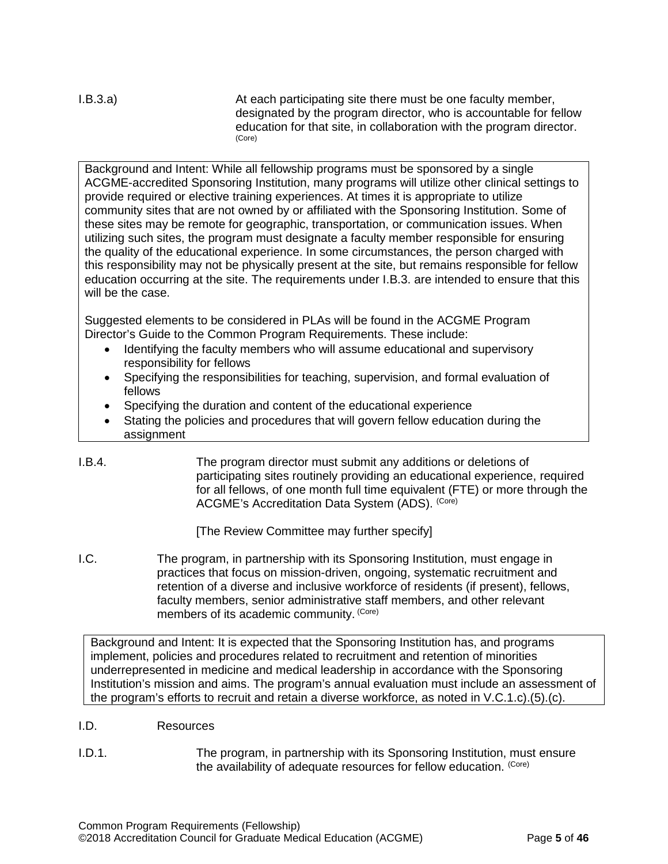I.B.3.a) At each participating site there must be one faculty member, designated by the program director, who is accountable for fellow education for that site, in collaboration with the program director.<br>(Core)

Background and Intent: While all fellowship programs must be sponsored by a single ACGME-accredited Sponsoring Institution, many programs will utilize other clinical settings to provide required or elective training experiences. At times it is appropriate to utilize community sites that are not owned by or affiliated with the Sponsoring Institution. Some of these sites may be remote for geographic, transportation, or communication issues. When utilizing such sites, the program must designate a faculty member responsible for ensuring the quality of the educational experience. In some circumstances, the person charged with this responsibility may not be physically present at the site, but remains responsible for fellow education occurring at the site. The requirements under I.B.3. are intended to ensure that this will be the case.

Suggested elements to be considered in PLAs will be found in the ACGME Program Director's Guide to the Common Program Requirements. These include:

- Identifying the faculty members who will assume educational and supervisory responsibility for fellows
- Specifying the responsibilities for teaching, supervision, and formal evaluation of fellows
- Specifying the duration and content of the educational experience
- Stating the policies and procedures that will govern fellow education during the assignment
- I.B.4. The program director must submit any additions or deletions of participating sites routinely providing an educational experience, required for all fellows, of one month full time equivalent (FTE) or more through the ACGME's Accreditation Data System (ADS). (Core)

[The Review Committee may further specify]

<span id="page-4-0"></span>I.C. The program, in partnership with its Sponsoring Institution, must engage in practices that focus on mission-driven, ongoing, systematic recruitment and retention of a diverse and inclusive workforce of residents (if present), fellows, faculty members, senior administrative staff members, and other relevant members of its academic community. (Core)

Background and Intent: It is expected that the Sponsoring Institution has, and programs implement, policies and procedures related to recruitment and retention of minorities underrepresented in medicine and medical leadership in accordance with the Sponsoring Institution's mission and aims. The program's annual evaluation must include an assessment of the program's efforts to recruit and retain a diverse workforce, as noted in V.C.1.c).(5).(c).

- <span id="page-4-1"></span>I.D. Resources
- I.D.1. The program, in partnership with its Sponsoring Institution, must ensure the availability of adequate resources for fellow education. (Core)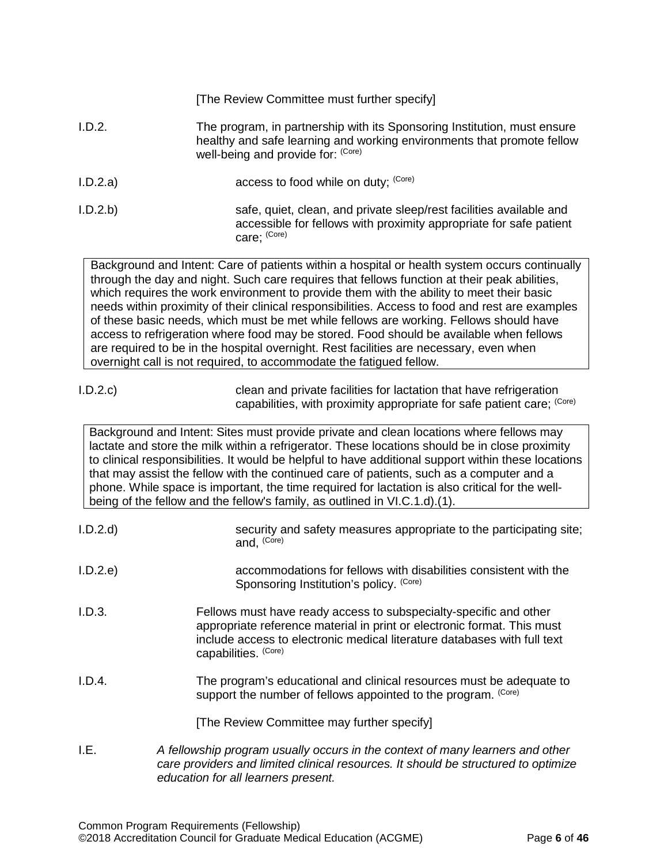|          | [The Review Committee must further specify]                                                                                                                                              |
|----------|------------------------------------------------------------------------------------------------------------------------------------------------------------------------------------------|
| I.D.2.   | The program, in partnership with its Sponsoring Institution, must ensure<br>healthy and safe learning and working environments that promote fellow<br>well-being and provide for: (Core) |
| I.D.2.a) | access to food while on duty; (Core)                                                                                                                                                     |
| I.D.2.b  | safe, quiet, clean, and private sleep/rest facilities available and<br>accessible for fellows with proximity appropriate for safe patient<br>care; (Core)                                |
|          | Background and Intent: Care of patients within a hospital or health system occurs continually                                                                                            |

Background and Intent: Care of patients within a hospital or health system occurs continually through the day and night. Such care requires that fellows function at their peak abilities, which requires the work environment to provide them with the ability to meet their basic needs within proximity of their clinical responsibilities. Access to food and rest are examples of these basic needs, which must be met while fellows are working. Fellows should have access to refrigeration where food may be stored. Food should be available when fellows are required to be in the hospital overnight. Rest facilities are necessary, even when overnight call is not required, to accommodate the fatigued fellow.

| I.D.2.c | clean and private facilities for lactation that have refrigeration     |
|---------|------------------------------------------------------------------------|
|         | capabilities, with proximity appropriate for safe patient care: (Core) |

Background and Intent: Sites must provide private and clean locations where fellows may lactate and store the milk within a refrigerator. These locations should be in close proximity to clinical responsibilities. It would be helpful to have additional support within these locations that may assist the fellow with the continued care of patients, such as a computer and a phone. While space is important, the time required for lactation is also critical for the wellbeing of the fellow and the fellow's family, as outlined in VI.C.1.d).(1).

<span id="page-5-0"></span>

| I.D.2.d | security and safety measures appropriate to the participating site;<br>and, (Core)                                                                                                                                                               |
|---------|--------------------------------------------------------------------------------------------------------------------------------------------------------------------------------------------------------------------------------------------------|
| I.D.2.e | accommodations for fellows with disabilities consistent with the<br>Sponsoring Institution's policy. (Core)                                                                                                                                      |
| I.D.3.  | Fellows must have ready access to subspecialty-specific and other<br>appropriate reference material in print or electronic format. This must<br>include access to electronic medical literature databases with full text<br>capabilities. (Core) |
| I.D.4.  | The program's educational and clinical resources must be adequate to<br>support the number of fellows appointed to the program. (Core)<br>[The Review Committee may further specify]                                                             |
| I.E.    | A fellowship program usually occurs in the context of many learners and other<br>care providers and limited clinical resources. It should be structured to optimize<br>education for all learners present.                                       |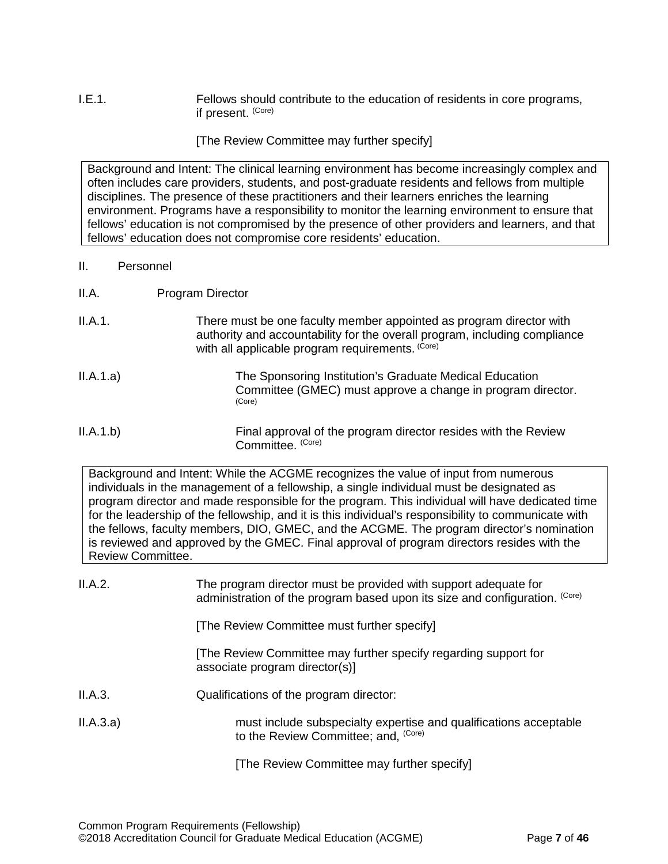# I.E.1. Fellows should contribute to the education of residents in core programs, if present. (Core)

[The Review Committee may further specify]

Background and Intent: The clinical learning environment has become increasingly complex and often includes care providers, students, and post-graduate residents and fellows from multiple disciplines. The presence of these practitioners and their learners enriches the learning environment. Programs have a responsibility to monitor the learning environment to ensure that fellows' education is not compromised by the presence of other providers and learners, and that fellows' education does not compromise core residents' education.

#### <span id="page-6-0"></span>II. Personnel

- <span id="page-6-1"></span>II.A. Program Director
- II.A.1. There must be one faculty member appointed as program director with authority and accountability for the overall program, including compliance with all applicable program requirements. (Core)
- II.A.1.a) The Sponsoring Institution's Graduate Medical Education Committee (GMEC) must approve a change in program director. (Core)
- II.A.1.b) Final approval of the program director resides with the Review Committee. (Core)

Background and Intent: While the ACGME recognizes the value of input from numerous individuals in the management of a fellowship, a single individual must be designated as program director and made responsible for the program. This individual will have dedicated time for the leadership of the fellowship, and it is this individual's responsibility to communicate with the fellows, faculty members, DIO, GMEC, and the ACGME. The program director's nomination is reviewed and approved by the GMEC. Final approval of program directors resides with the Review Committee.

| II.A.2.   | The program director must be provided with support adequate for<br>administration of the program based upon its size and configuration. (Core) |
|-----------|------------------------------------------------------------------------------------------------------------------------------------------------|
|           | [The Review Committee must further specify]                                                                                                    |
|           | The Review Committee may further specify regarding support for<br>associate program director(s)]                                               |
| II.A.3.   | Qualifications of the program director:                                                                                                        |
| II.A.3.a) | must include subspecialty expertise and qualifications acceptable<br>to the Review Committee; and, (Core)                                      |
|           | [The Review Committee may further specify]                                                                                                     |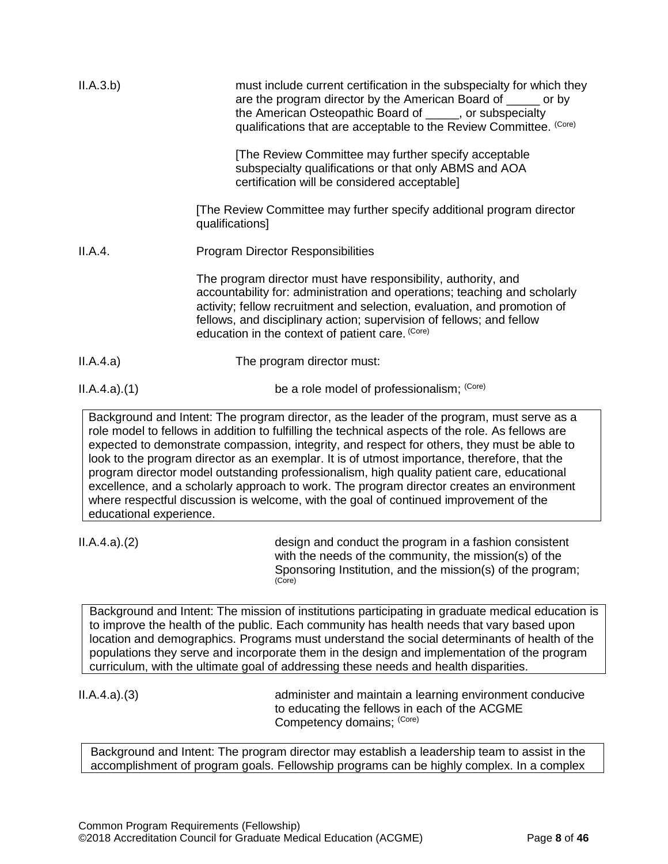| II.A.3.b)   | must include current certification in the subspecialty for which they<br>are the program director by the American Board of _____ or by<br>the American Osteopathic Board of _____, or subspecialty<br>qualifications that are acceptable to the Review Committee. (Core)                                                                           |
|-------------|----------------------------------------------------------------------------------------------------------------------------------------------------------------------------------------------------------------------------------------------------------------------------------------------------------------------------------------------------|
|             | The Review Committee may further specify acceptable<br>subspecialty qualifications or that only ABMS and AOA<br>certification will be considered acceptable]                                                                                                                                                                                       |
|             | [The Review Committee may further specify additional program director<br>qualifications]                                                                                                                                                                                                                                                           |
| II.A.4.     | <b>Program Director Responsibilities</b>                                                                                                                                                                                                                                                                                                           |
|             | The program director must have responsibility, authority, and<br>accountability for: administration and operations; teaching and scholarly<br>activity; fellow recruitment and selection, evaluation, and promotion of<br>fellows, and disciplinary action; supervision of fellows; and fellow<br>education in the context of patient care. (Core) |
| II.A.4.a)   | The program director must:                                                                                                                                                                                                                                                                                                                         |
| ILA.4.a)(1) | be a role model of professionalism; (Core)                                                                                                                                                                                                                                                                                                         |

Background and Intent: The program director, as the leader of the program, must serve as a role model to fellows in addition to fulfilling the technical aspects of the role. As fellows are expected to demonstrate compassion, integrity, and respect for others, they must be able to look to the program director as an exemplar. It is of utmost importance, therefore, that the program director model outstanding professionalism, high quality patient care, educational excellence, and a scholarly approach to work. The program director creates an environment where respectful discussion is welcome, with the goal of continued improvement of the educational experience.

II.A.4.a).(2) design and conduct the program in a fashion consistent with the needs of the community, the mission(s) of the Sponsoring Institution, and the mission(s) of the program; (Core)

Background and Intent: The mission of institutions participating in graduate medical education is to improve the health of the public. Each community has health needs that vary based upon location and demographics. Programs must understand the social determinants of health of the populations they serve and incorporate them in the design and implementation of the program curriculum, with the ultimate goal of addressing these needs and health disparities.

II.A.4.a).(3) administer and maintain a learning environment conducive to educating the fellows in each of the ACGME Competency domains; (Core)

Background and Intent: The program director may establish a leadership team to assist in the accomplishment of program goals. Fellowship programs can be highly complex. In a complex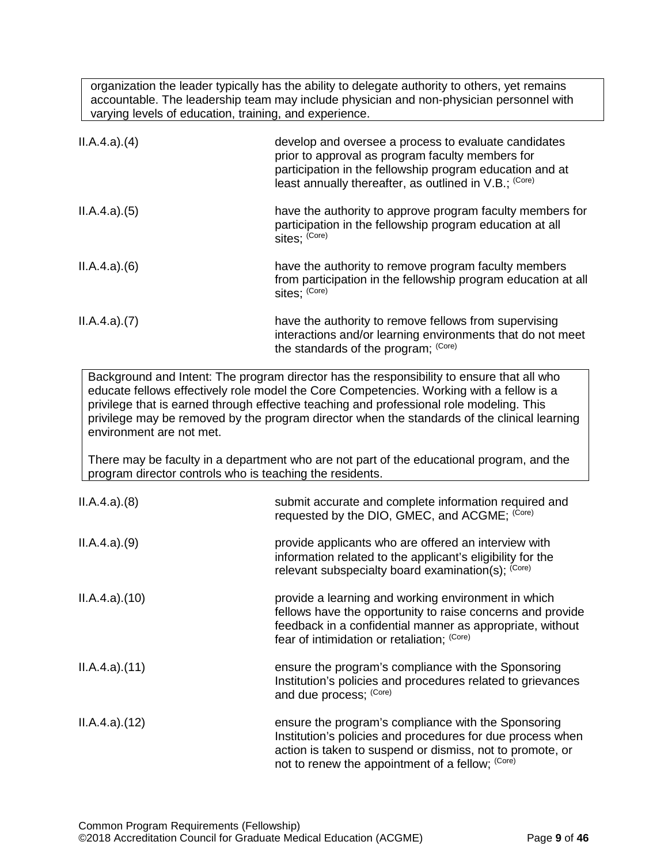organization the leader typically has the ability to delegate authority to others, yet remains accountable. The leadership team may include physician and non-physician personnel with varying levels of education, training, and experience.

| ILA.4.a)(4) | develop and oversee a process to evaluate candidates<br>prior to approval as program faculty members for<br>participation in the fellowship program education and at<br>least annually thereafter, as outlined in V.B.; (Core) |
|-------------|--------------------------------------------------------------------------------------------------------------------------------------------------------------------------------------------------------------------------------|
| ILA.4.a)(5) | have the authority to approve program faculty members for<br>participation in the fellowship program education at all<br>sites; (Core)                                                                                         |
| ILA.4.a)(6) | have the authority to remove program faculty members<br>from participation in the fellowship program education at all<br>sites; (Core)                                                                                         |
| ILA.4.a)(7) | have the authority to remove fellows from supervising<br>interactions and/or learning environments that do not meet<br>the standards of the program; (Core)                                                                    |

Background and Intent: The program director has the responsibility to ensure that all who educate fellows effectively role model the Core Competencies. Working with a fellow is a privilege that is earned through effective teaching and professional role modeling. This privilege may be removed by the program director when the standards of the clinical learning environment are not met.

There may be faculty in a department who are not part of the educational program, and the program director controls who is teaching the residents.

| ILA.4.a)(8)  | submit accurate and complete information required and<br>requested by the DIO, GMEC, and ACGME; (Core)                                                                                                                             |
|--------------|------------------------------------------------------------------------------------------------------------------------------------------------------------------------------------------------------------------------------------|
| ILA.4.a)(9)  | provide applicants who are offered an interview with<br>information related to the applicant's eligibility for the<br>relevant subspecialty board examination(s); (Core)                                                           |
| ILA.4.a)(10) | provide a learning and working environment in which<br>fellows have the opportunity to raise concerns and provide<br>feedback in a confidential manner as appropriate, without<br>fear of intimidation or retaliation; (Core)      |
| ILA.4.a)(11) | ensure the program's compliance with the Sponsoring<br>Institution's policies and procedures related to grievances<br>and due process; (Core)                                                                                      |
| ILA.4.a)(12) | ensure the program's compliance with the Sponsoring<br>Institution's policies and procedures for due process when<br>action is taken to suspend or dismiss, not to promote, or<br>not to renew the appointment of a fellow; (Core) |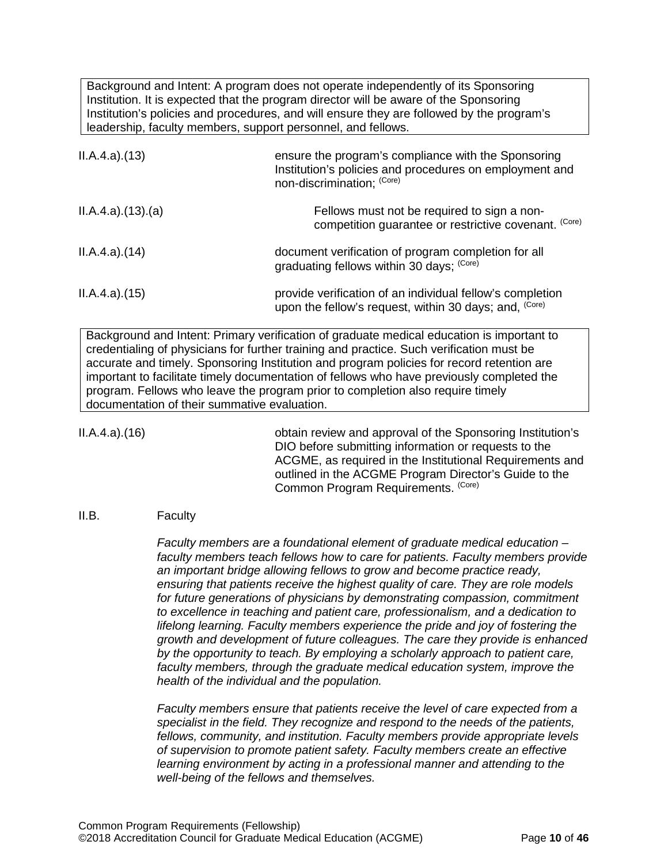Background and Intent: A program does not operate independently of its Sponsoring Institution. It is expected that the program director will be aware of the Sponsoring Institution's policies and procedures, and will ensure they are followed by the program's leadership, faculty members, support personnel, and fellows.

| ILA.4.a)(13)    | ensure the program's compliance with the Sponsoring<br>Institution's policies and procedures on employment and<br>non-discrimination; (Core) |
|-----------------|----------------------------------------------------------------------------------------------------------------------------------------------|
| ILA.4.a)(13)(a) | Fellows must not be required to sign a non-<br>competition guarantee or restrictive covenant. (Core)                                         |
| ILA.4.a)(14)    | document verification of program completion for all<br>graduating fellows within 30 days; (Core)                                             |
| ILA.4.a)(15)    | provide verification of an individual fellow's completion<br>upon the fellow's request, within 30 days; and, <sup>(Core)</sup>               |

Background and Intent: Primary verification of graduate medical education is important to credentialing of physicians for further training and practice. Such verification must be accurate and timely. Sponsoring Institution and program policies for record retention are important to facilitate timely documentation of fellows who have previously completed the program. Fellows who leave the program prior to completion also require timely documentation of their summative evaluation.

II.A.4.a).(16) obtain review and approval of the Sponsoring Institution's DIO before submitting information or requests to the ACGME, as required in the Institutional Requirements and outlined in the ACGME Program Director's Guide to the Common Program Requirements. (Core)

#### <span id="page-9-0"></span>II.B. Faculty

*Faculty members are a foundational element of graduate medical education – faculty members teach fellows how to care for patients. Faculty members provide an important bridge allowing fellows to grow and become practice ready, ensuring that patients receive the highest quality of care. They are role models for future generations of physicians by demonstrating compassion, commitment to excellence in teaching and patient care, professionalism, and a dedication to lifelong learning. Faculty members experience the pride and joy of fostering the growth and development of future colleagues. The care they provide is enhanced by the opportunity to teach. By employing a scholarly approach to patient care, faculty members, through the graduate medical education system, improve the health of the individual and the population.*

*Faculty members ensure that patients receive the level of care expected from a specialist in the field. They recognize and respond to the needs of the patients, fellows, community, and institution. Faculty members provide appropriate levels of supervision to promote patient safety. Faculty members create an effective learning environment by acting in a professional manner and attending to the well-being of the fellows and themselves.*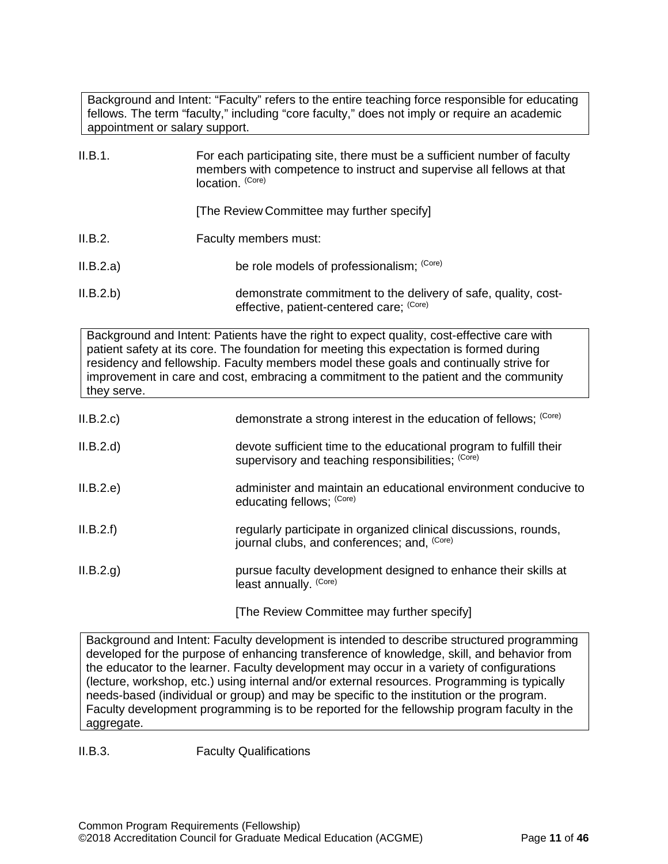Background and Intent: "Faculty" refers to the entire teaching force responsible for educating fellows. The term "faculty," including "core faculty," does not imply or require an academic appointment or salary support.

| II.B.1.   | For each participating site, there must be a sufficient number of faculty<br>members with competence to instruct and supervise all fellows at that<br>location. (Core) |
|-----------|------------------------------------------------------------------------------------------------------------------------------------------------------------------------|
|           | [The Review Committee may further specify]                                                                                                                             |
| II.B.2.   | Faculty members must:                                                                                                                                                  |
| II.B.2.a) | be role models of professionalism; (Core)                                                                                                                              |
| II.B.2.b) | demonstrate commitment to the delivery of safe, quality, cost-<br>effective, patient-centered care; (Core)                                                             |

Background and Intent: Patients have the right to expect quality, cost-effective care with patient safety at its core. The foundation for meeting this expectation is formed during residency and fellowship. Faculty members model these goals and continually strive for improvement in care and cost, embracing a commitment to the patient and the community they serve.

| II.B.2.d<br>devote sufficient time to the educational program to fulfill their<br>supervisory and teaching responsibilities; (Core)<br>II.B.2.e)<br>educating fellows; (Core)<br>II.B.2.f)<br>regularly participate in organized clinical discussions, rounds,<br>journal clubs, and conferences; and. (Core)<br>II.B.2.g.<br>pursue faculty development designed to enhance their skills at<br>least annually. (Core) | II.B.2.c | demonstrate a strong interest in the education of fellows; (Core) |
|------------------------------------------------------------------------------------------------------------------------------------------------------------------------------------------------------------------------------------------------------------------------------------------------------------------------------------------------------------------------------------------------------------------------|----------|-------------------------------------------------------------------|
|                                                                                                                                                                                                                                                                                                                                                                                                                        |          |                                                                   |
|                                                                                                                                                                                                                                                                                                                                                                                                                        |          | administer and maintain an educational environment conducive to   |
|                                                                                                                                                                                                                                                                                                                                                                                                                        |          |                                                                   |
|                                                                                                                                                                                                                                                                                                                                                                                                                        |          |                                                                   |

[The Review Committee may further specify]

Background and Intent: Faculty development is intended to describe structured programming developed for the purpose of enhancing transference of knowledge, skill, and behavior from the educator to the learner. Faculty development may occur in a variety of configurations (lecture, workshop, etc.) using internal and/or external resources. Programming is typically needs-based (individual or group) and may be specific to the institution or the program. Faculty development programming is to be reported for the fellowship program faculty in the aggregate.

II.B.3. Faculty Qualifications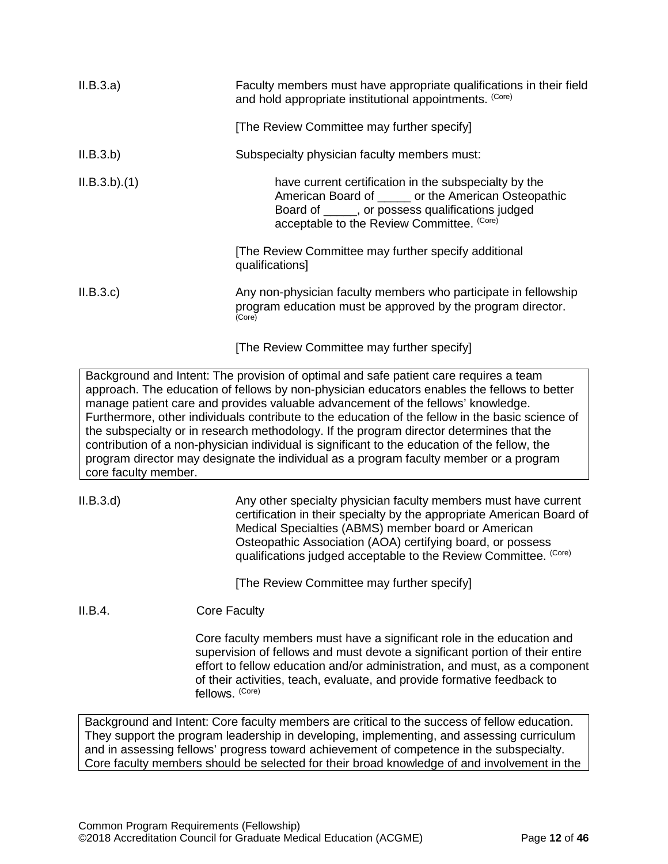| II.B.3.a)            | Faculty members must have appropriate qualifications in their field<br>and hold appropriate institutional appointments. (Core)                                                                                                                                                                                                                                                                                                                                                                                                                                                                                                                                      |
|----------------------|---------------------------------------------------------------------------------------------------------------------------------------------------------------------------------------------------------------------------------------------------------------------------------------------------------------------------------------------------------------------------------------------------------------------------------------------------------------------------------------------------------------------------------------------------------------------------------------------------------------------------------------------------------------------|
|                      | [The Review Committee may further specify]                                                                                                                                                                                                                                                                                                                                                                                                                                                                                                                                                                                                                          |
| II.B.3.b)            | Subspecialty physician faculty members must:                                                                                                                                                                                                                                                                                                                                                                                                                                                                                                                                                                                                                        |
| ILB.3.b)(1)          | have current certification in the subspecialty by the<br>American Board of ______ or the American Osteopathic<br>Board of _____, or possess qualifications judged<br>acceptable to the Review Committee. (Core)                                                                                                                                                                                                                                                                                                                                                                                                                                                     |
|                      | [The Review Committee may further specify additional<br>qualifications]                                                                                                                                                                                                                                                                                                                                                                                                                                                                                                                                                                                             |
| II.B.3.c             | Any non-physician faculty members who participate in fellowship<br>program education must be approved by the program director.<br>(Core)                                                                                                                                                                                                                                                                                                                                                                                                                                                                                                                            |
|                      | [The Review Committee may further specify]                                                                                                                                                                                                                                                                                                                                                                                                                                                                                                                                                                                                                          |
| core faculty member. | Background and Intent: The provision of optimal and safe patient care requires a team<br>approach. The education of fellows by non-physician educators enables the fellows to better<br>manage patient care and provides valuable advancement of the fellows' knowledge.<br>Furthermore, other individuals contribute to the education of the fellow in the basic science of<br>the subspecialty or in research methodology. If the program director determines that the<br>contribution of a non-physician individual is significant to the education of the fellow, the<br>program director may designate the individual as a program faculty member or a program |
| ILB.3.d)             | Any other specialty physician faculty members must have current<br>certification in their specialty by the appropriate American Board of<br>Medical Specialties (ABMS) member board or American<br>Osteopathic Association (AOA) certifying board, or possess<br>qualifications judged acceptable to the Review Committee. (Core)                                                                                                                                                                                                                                                                                                                                   |
|                      | [The Review Committee may further specify]                                                                                                                                                                                                                                                                                                                                                                                                                                                                                                                                                                                                                          |
| II.B.4.              | <b>Core Faculty</b>                                                                                                                                                                                                                                                                                                                                                                                                                                                                                                                                                                                                                                                 |
|                      | Core faculty members must have a significant role in the education and<br>supervision of fellows and must devote a significant portion of their entire<br>effort to fellow education and/or administration, and must, as a component<br>of their activities, teach, evaluate, and provide formative feedback to<br>fellows. (Core)                                                                                                                                                                                                                                                                                                                                  |
|                      | Background and Intent: Core faculty members are critical to the success of fellow education.<br>be program loadership in developing implementing and coopering ourrigulum                                                                                                                                                                                                                                                                                                                                                                                                                                                                                           |

They support the program leadership in developing, implementing, and assessing curriculum and in assessing fellows' progress toward achievement of competence in the subspecialty. Core faculty members should be selected for their broad knowledge of and involvement in the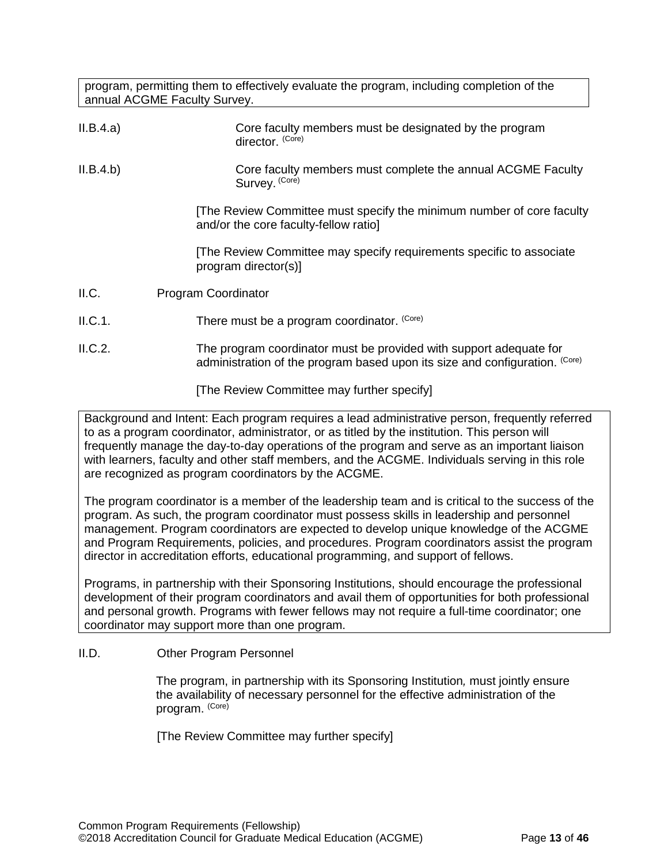program, permitting them to effectively evaluate the program, including completion of the annual ACGME Faculty Survey.

| II.B.4.a)                    | Core faculty members must be designated by the program<br>director. (Core)                                    |
|------------------------------|---------------------------------------------------------------------------------------------------------------|
| II.B.4.b)                    | Core faculty members must complete the annual ACGME Faculty<br>Survey. (Core)                                 |
|                              | The Review Committee must specify the minimum number of core faculty<br>and/or the core faculty-fellow ratiol |
|                              | [The Review Committee may specify requirements specific to associate<br>program director(s)]                  |
| II.C.                        | Program Coordinator                                                                                           |
| II.C.1.                      | There must be a program coordinator. (Core)                                                                   |
| $\mathsf{H} \cap \mathsf{H}$ | The program coordinates must be provided with cuppert adoptate for                                            |

<span id="page-12-0"></span>II.C.2. The program coordinator must be provided with support adequate for administration of the program based upon its size and configuration. (Core)

[The Review Committee may further specify]

Background and Intent: Each program requires a lead administrative person, frequently referred to as a program coordinator, administrator, or as titled by the institution. This person will frequently manage the day-to-day operations of the program and serve as an important liaison with learners, faculty and other staff members, and the ACGME. Individuals serving in this role are recognized as program coordinators by the ACGME.

The program coordinator is a member of the leadership team and is critical to the success of the program. As such, the program coordinator must possess skills in leadership and personnel management. Program coordinators are expected to develop unique knowledge of the ACGME and Program Requirements, policies, and procedures. Program coordinators assist the program director in accreditation efforts, educational programming, and support of fellows.

Programs, in partnership with their Sponsoring Institutions, should encourage the professional development of their program coordinators and avail them of opportunities for both professional and personal growth. Programs with fewer fellows may not require a full-time coordinator; one coordinator may support more than one program.

# <span id="page-12-1"></span>II.D. Other Program Personnel

The program, in partnership with its Sponsoring Institution*,* must jointly ensure the availability of necessary personnel for the effective administration of the program. (Core)

[The Review Committee may further specify]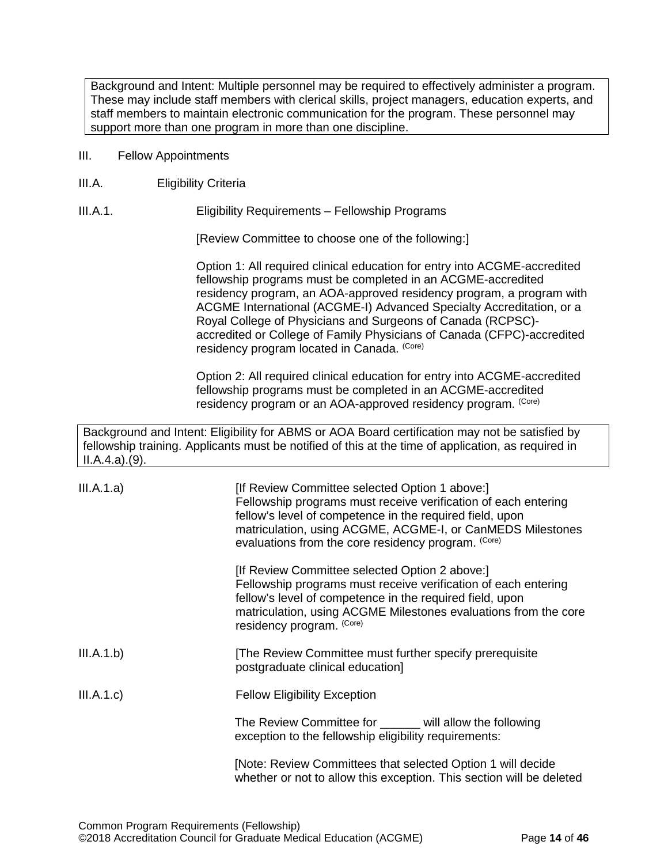Background and Intent: Multiple personnel may be required to effectively administer a program. These may include staff members with clerical skills, project managers, education experts, and staff members to maintain electronic communication for the program. These personnel may support more than one program in more than one discipline.

- <span id="page-13-0"></span>III. Fellow Appointments
- <span id="page-13-1"></span>III.A. Eligibility Criteria

III.A.1. Eligibility Requirements – Fellowship Programs

[Review Committee to choose one of the following:]

Option 1: All required clinical education for entry into ACGME-accredited fellowship programs must be completed in an ACGME-accredited residency program, an AOA-approved residency program, a program with ACGME International (ACGME-I) Advanced Specialty Accreditation, or a Royal College of Physicians and Surgeons of Canada (RCPSC) accredited or College of Family Physicians of Canada (CFPC)-accredited residency program located in Canada. (Core)

Option 2: All required clinical education for entry into ACGME-accredited fellowship programs must be completed in an ACGME-accredited residency program or an AOA-approved residency program. (Core)

Background and Intent: Eligibility for ABMS or AOA Board certification may not be satisfied by fellowship training. Applicants must be notified of this at the time of application, as required in II.A.4.a).(9).

| III.A.1.a) | [If Review Committee selected Option 1 above:]<br>Fellowship programs must receive verification of each entering<br>fellow's level of competence in the required field, upon<br>matriculation, using ACGME, ACGME-I, or CanMEDS Milestones<br>evaluations from the core residency program. (Core) |
|------------|---------------------------------------------------------------------------------------------------------------------------------------------------------------------------------------------------------------------------------------------------------------------------------------------------|
|            | [If Review Committee selected Option 2 above:]<br>Fellowship programs must receive verification of each entering<br>fellow's level of competence in the required field, upon<br>matriculation, using ACGME Milestones evaluations from the core<br>residency program. (Core)                      |
| III.A.1.b) | The Review Committee must further specify prerequisite<br>postgraduate clinical education]                                                                                                                                                                                                        |
| III.A.1.c) | <b>Fellow Eligibility Exception</b>                                                                                                                                                                                                                                                               |
|            | The Review Committee for ______ will allow the following<br>exception to the fellowship eligibility requirements:                                                                                                                                                                                 |
|            | [Note: Review Committees that selected Option 1 will decide<br>whether or not to allow this exception. This section will be deleted                                                                                                                                                               |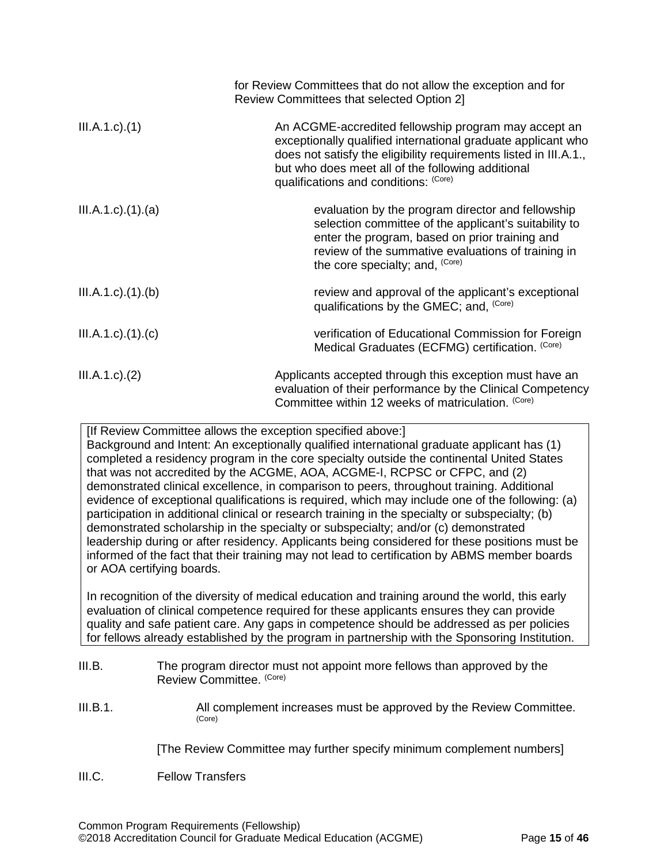|                              | for Review Committees that do not allow the exception and for<br>Review Committees that selected Option 2]                                                                                                                                                                              |
|------------------------------|-----------------------------------------------------------------------------------------------------------------------------------------------------------------------------------------------------------------------------------------------------------------------------------------|
| $III.A.1.c$ . $(1)$          | An ACGME-accredited fellowship program may accept an<br>exceptionally qualified international graduate applicant who<br>does not satisfy the eligibility requirements listed in III.A.1.,<br>but who does meet all of the following additional<br>qualifications and conditions: (Core) |
| $III.A.1.c$ ). $(1)$ . $(a)$ | evaluation by the program director and fellowship<br>selection committee of the applicant's suitability to<br>enter the program, based on prior training and<br>review of the summative evaluations of training in<br>the core specialty; and, (Core)                                   |
| III.A.1.c)(1)(b)             | review and approval of the applicant's exceptional<br>qualifications by the GMEC; and, <sup>(Core)</sup>                                                                                                                                                                                |
| $III.A.1.c$ . $(1).$         | verification of Educational Commission for Foreign<br>Medical Graduates (ECFMG) certification. (Core)                                                                                                                                                                                   |
| $III.A.1.c$ ). $(2)$         | Applicants accepted through this exception must have an<br>evaluation of their performance by the Clinical Competency<br>Committee within 12 weeks of matriculation. (Core)                                                                                                             |

[If Review Committee allows the exception specified above:]

Background and Intent: An exceptionally qualified international graduate applicant has (1) completed a residency program in the core specialty outside the continental United States that was not accredited by the ACGME, AOA, ACGME-I, RCPSC or CFPC, and (2) demonstrated clinical excellence, in comparison to peers, throughout training. Additional evidence of exceptional qualifications is required, which may include one of the following: (a) participation in additional clinical or research training in the specialty or subspecialty; (b) demonstrated scholarship in the specialty or subspecialty; and/or (c) demonstrated leadership during or after residency. Applicants being considered for these positions must be informed of the fact that their training may not lead to certification by ABMS member boards or AOA certifying boards.

In recognition of the diversity of medical education and training around the world, this early evaluation of clinical competence required for these applicants ensures they can provide quality and safe patient care. Any gaps in competence should be addressed as per policies for fellows already established by the program in partnership with the Sponsoring Institution.

<span id="page-14-0"></span>

| III.B. | The program director must not appoint more fellows than approved by the |
|--------|-------------------------------------------------------------------------|
|        | Review Committee. (Core)                                                |

III.B.1. All complement increases must be approved by the Review Committee. (Core)

[The Review Committee may further specify minimum complement numbers]

<span id="page-14-1"></span>III.C. Fellow Transfers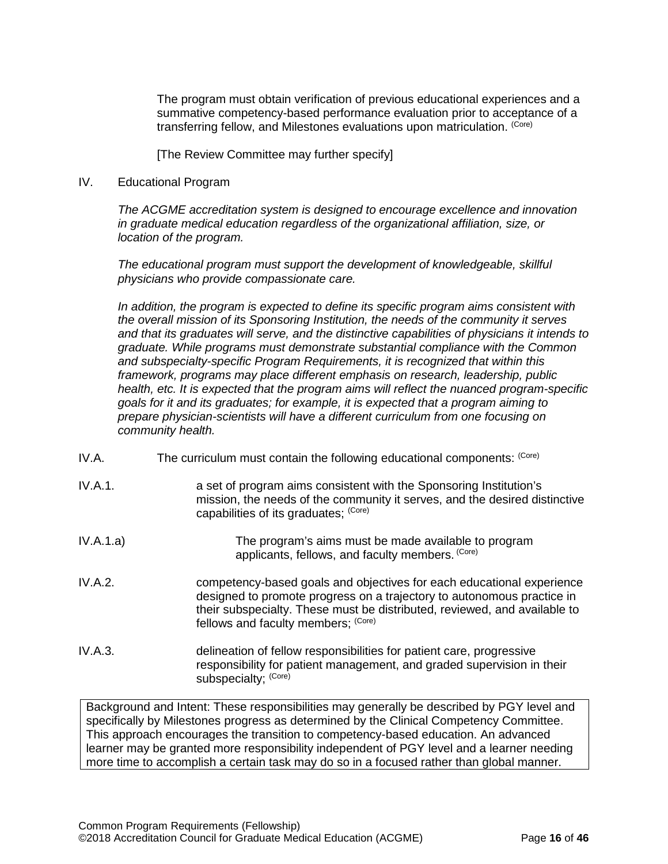The program must obtain verification of previous educational experiences and a summative competency-based performance evaluation prior to acceptance of a transferring fellow, and Milestones evaluations upon matriculation. (Core)

[The Review Committee may further specify]

## <span id="page-15-0"></span>IV. Educational Program

*The ACGME accreditation system is designed to encourage excellence and innovation in graduate medical education regardless of the organizational affiliation, size, or location of the program.*

*The educational program must support the development of knowledgeable, skillful physicians who provide compassionate care.*

*In addition, the program is expected to define its specific program aims consistent with the overall mission of its Sponsoring Institution, the needs of the community it serves and that its graduates will serve, and the distinctive capabilities of physicians it intends to graduate. While programs must demonstrate substantial compliance with the Common and subspecialty-specific Program Requirements, it is recognized that within this framework, programs may place different emphasis on research, leadership, public health, etc. It is expected that the program aims will reflect the nuanced program-specific goals for it and its graduates; for example, it is expected that a program aiming to prepare physician-scientists will have a different curriculum from one focusing on community health.*

- <span id="page-15-1"></span>IV.A. The curriculum must contain the following educational components:  $(Core)$
- IV.A.1. **a** set of program aims consistent with the Sponsoring Institution's mission, the needs of the community it serves, and the desired distinctive capabilities of its graduates; (Core)
- IV.A.1.a) The program's aims must be made available to program applicants, fellows, and faculty members. (Core)
- IV.A.2. competency-based goals and objectives for each educational experience designed to promote progress on a trajectory to autonomous practice in their subspecialty. These must be distributed, reviewed, and available to fellows and faculty members; (Core)
- IV.A.3. delineation of fellow responsibilities for patient care, progressive responsibility for patient management, and graded supervision in their subspecialty; (Core)

Background and Intent: These responsibilities may generally be described by PGY level and specifically by Milestones progress as determined by the Clinical Competency Committee. This approach encourages the transition to competency-based education. An advanced learner may be granted more responsibility independent of PGY level and a learner needing more time to accomplish a certain task may do so in a focused rather than global manner.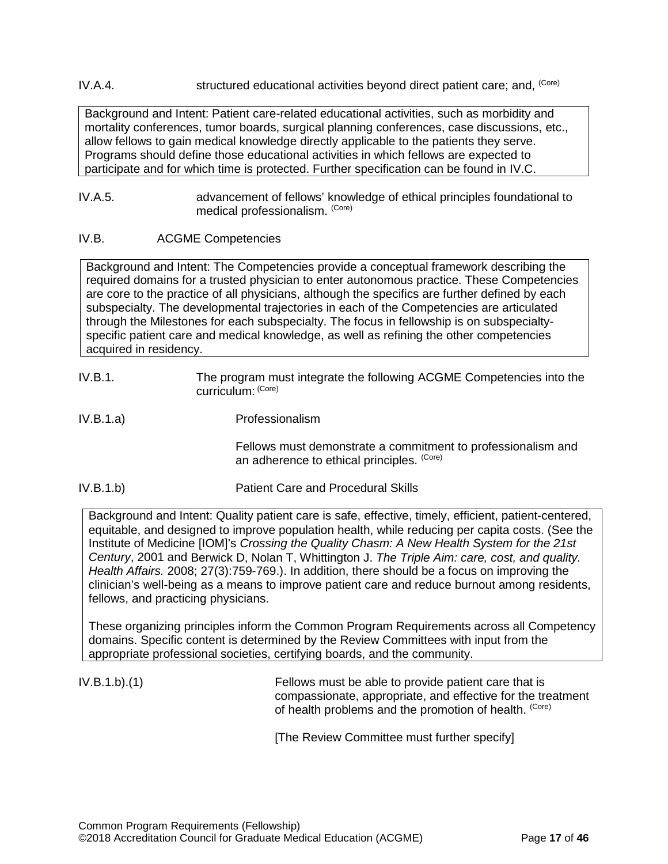IV.A.4. structured educational activities beyond direct patient care; and, (Core)

Background and Intent: Patient care-related educational activities, such as morbidity and mortality conferences, tumor boards, surgical planning conferences, case discussions, etc., allow fellows to gain medical knowledge directly applicable to the patients they serve. Programs should define those educational activities in which fellows are expected to participate and for which time is protected. Further specification can be found in IV.C.

#### IV.A.5. advancement of fellows' knowledge of ethical principles foundational to medical professionalism. (Core)

# <span id="page-16-0"></span>IV.B. ACGME Competencies

Background and Intent: The Competencies provide a conceptual framework describing the required domains for a trusted physician to enter autonomous practice. These Competencies are core to the practice of all physicians, although the specifics are further defined by each subspecialty. The developmental trajectories in each of the Competencies are articulated through the Milestones for each subspecialty. The focus in fellowship is on subspecialtyspecific patient care and medical knowledge, as well as refining the other competencies acquired in residency.

- IV.B.1. The program must integrate the following ACGME Competencies into the curriculum: (Core)
- IV.B.1.a) Professionalism

Fellows must demonstrate a commitment to professionalism and an adherence to ethical principles. (Core)

IV.B.1.b) Patient Care and Procedural Skills

Background and Intent: Quality patient care is safe, effective, timely, efficient, patient-centered, equitable, and designed to improve population health, while reducing per capita costs. (See the Institute of Medicine [IOM]'s *Crossing the Quality Chasm: A New Health System for the 21st Century*, 2001 and Berwick D, Nolan T, Whittington J. *The Triple Aim: care, cost, and quality. Health Affairs.* 2008; 27(3):759-769.). In addition, there should be a focus on improving the clinician's well-being as a means to improve patient care and reduce burnout among residents, fellows, and practicing physicians.

These organizing principles inform the Common Program Requirements across all Competency domains. Specific content is determined by the Review Committees with input from the appropriate professional societies, certifying boards, and the community.

IV.B.1.b).(1) Fellows must be able to provide patient care that is compassionate, appropriate, and effective for the treatment of health problems and the promotion of health. (Core)

[The Review Committee must further specify]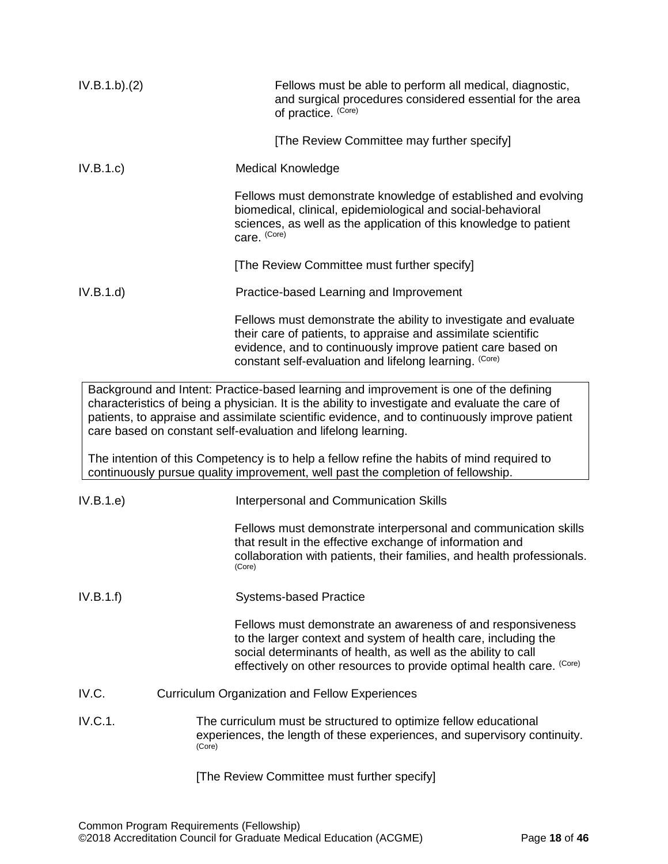<span id="page-17-0"></span>

| IV.B.1.b)(2) | Fellows must be able to perform all medical, diagnostic,<br>and surgical procedures considered essential for the area<br>of practice. (Core)                                                                                                                                                                                                                                                                                                                                                                                                 |
|--------------|----------------------------------------------------------------------------------------------------------------------------------------------------------------------------------------------------------------------------------------------------------------------------------------------------------------------------------------------------------------------------------------------------------------------------------------------------------------------------------------------------------------------------------------------|
|              | [The Review Committee may further specify]                                                                                                                                                                                                                                                                                                                                                                                                                                                                                                   |
| IV.B.1.c     | <b>Medical Knowledge</b>                                                                                                                                                                                                                                                                                                                                                                                                                                                                                                                     |
|              | Fellows must demonstrate knowledge of established and evolving<br>biomedical, clinical, epidemiological and social-behavioral<br>sciences, as well as the application of this knowledge to patient<br>care. (Core)                                                                                                                                                                                                                                                                                                                           |
|              | [The Review Committee must further specify]                                                                                                                                                                                                                                                                                                                                                                                                                                                                                                  |
| IV.B.1.d     | Practice-based Learning and Improvement                                                                                                                                                                                                                                                                                                                                                                                                                                                                                                      |
|              | Fellows must demonstrate the ability to investigate and evaluate<br>their care of patients, to appraise and assimilate scientific<br>evidence, and to continuously improve patient care based on<br>constant self-evaluation and lifelong learning. (Core)                                                                                                                                                                                                                                                                                   |
|              | Background and Intent: Practice-based learning and improvement is one of the defining<br>characteristics of being a physician. It is the ability to investigate and evaluate the care of<br>patients, to appraise and assimilate scientific evidence, and to continuously improve patient<br>care based on constant self-evaluation and lifelong learning.<br>The intention of this Competency is to help a fellow refine the habits of mind required to<br>continuously pursue quality improvement, well past the completion of fellowship. |
| IV.B.1.e)    | Interpersonal and Communication Skills                                                                                                                                                                                                                                                                                                                                                                                                                                                                                                       |
|              | Fellows must demonstrate interpersonal and communication skills<br>that result in the effective exchange of information and<br>collaboration with patients, their families, and health professionals.<br>(Core)                                                                                                                                                                                                                                                                                                                              |
| IV.B.1.f)    | <b>Systems-based Practice</b>                                                                                                                                                                                                                                                                                                                                                                                                                                                                                                                |
|              | Fellows must demonstrate an awareness of and responsiveness<br>to the larger context and system of health care, including the<br>social determinants of health, as well as the ability to call<br>effectively on other resources to provide optimal health care. (Core)                                                                                                                                                                                                                                                                      |
| IV.C.        | <b>Curriculum Organization and Fellow Experiences</b>                                                                                                                                                                                                                                                                                                                                                                                                                                                                                        |
| IV.C.1.      | The curriculum must be structured to optimize fellow educational<br>experiences, the length of these experiences, and supervisory continuity.<br>(Core)                                                                                                                                                                                                                                                                                                                                                                                      |
|              | [The Review Committee must further specify]                                                                                                                                                                                                                                                                                                                                                                                                                                                                                                  |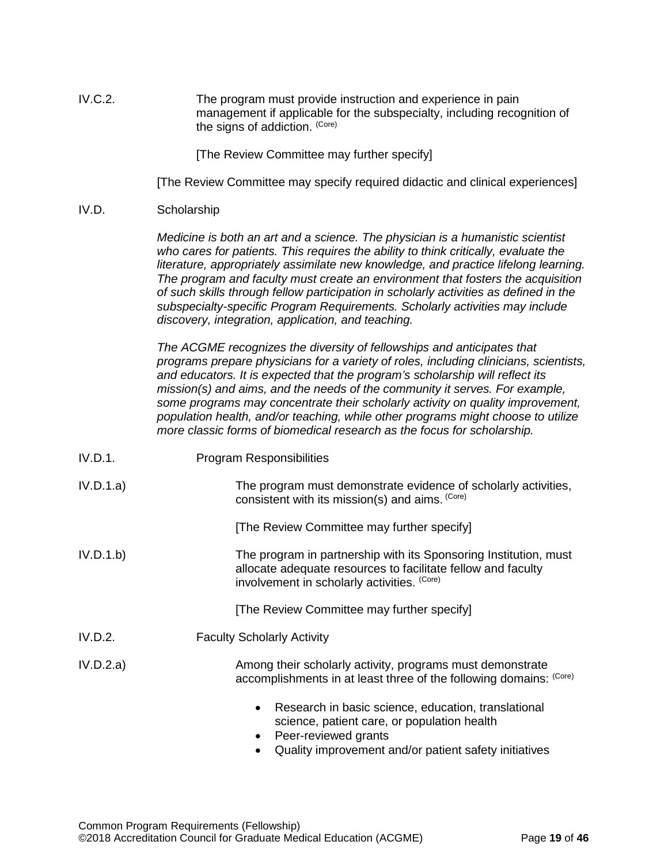| IV.C.2. | The program must provide instruction and experience in pain             |
|---------|-------------------------------------------------------------------------|
|         | management if applicable for the subspecialty, including recognition of |
|         | the signs of addiction. (Core)                                          |

[The Review Committee may further specify]

[The Review Committee may specify required didactic and clinical experiences]

#### <span id="page-18-0"></span>IV.D. Scholarship

*Medicine is both an art and a science. The physician is a humanistic scientist who cares for patients. This requires the ability to think critically, evaluate the literature, appropriately assimilate new knowledge, and practice lifelong learning. The program and faculty must create an environment that fosters the acquisition of such skills through fellow participation in scholarly activities as defined in the subspecialty-specific Program Requirements. Scholarly activities may include discovery, integration, application, and teaching.*

*The ACGME recognizes the diversity of fellowships and anticipates that programs prepare physicians for a variety of roles, including clinicians, scientists, and educators. It is expected that the program's scholarship will reflect its mission(s) and aims, and the needs of the community it serves. For example, some programs may concentrate their scholarly activity on quality improvement, population health, and/or teaching, while other programs might choose to utilize more classic forms of biomedical research as the focus for scholarship.*

| IV.D.1.   | <b>Program Responsibilities</b>                                                                                   |
|-----------|-------------------------------------------------------------------------------------------------------------------|
| IV.D.1.a) | The program must demonstrate evidence of scholarly activities,<br>consistent with its mission(s) and aims. (Core) |

[The Review Committee may further specify]

IV.D.1.b) The program in partnership with its Sponsoring Institution, must allocate adequate resources to facilitate fellow and faculty involvement in scholarly activities. (Core)

[The Review Committee may further specify]

- IV.D.2. Faculty Scholarly Activity
- IV.D.2.a) Among their scholarly activity, programs must demonstrate accomplishments in at least three of the following domains: (Core)
	- Research in basic science, education, translational science, patient care, or population health
	- Peer-reviewed grants
	- Quality improvement and/or patient safety initiatives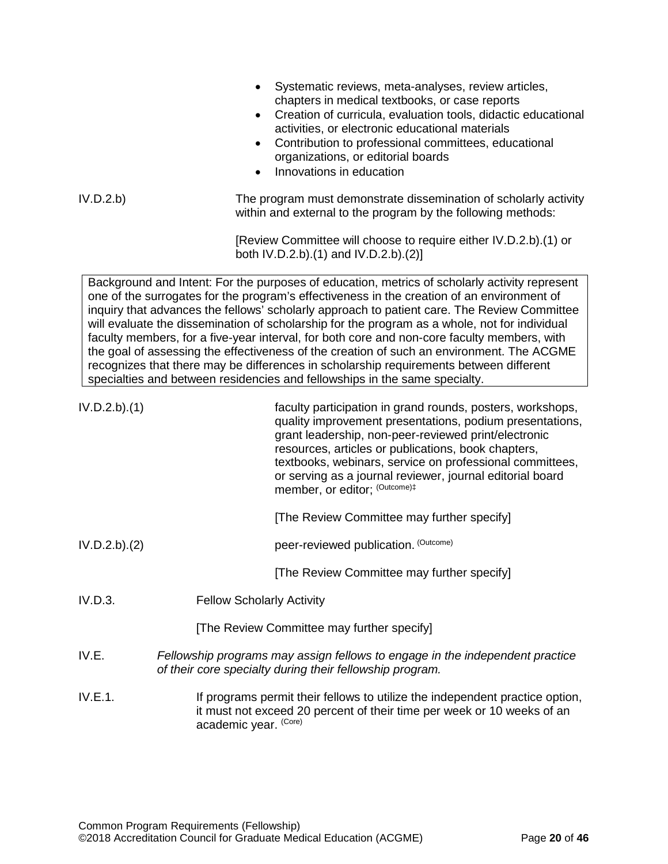<span id="page-19-0"></span>

|               | Systematic reviews, meta-analyses, review articles,<br>$\bullet$<br>chapters in medical textbooks, or case reports<br>Creation of curricula, evaluation tools, didactic educational<br>$\bullet$<br>activities, or electronic educational materials<br>Contribution to professional committees, educational<br>$\bullet$<br>organizations, or editorial boards<br>Innovations in education                                                                                                                                                                                                                                                                                                                                                                      |
|---------------|-----------------------------------------------------------------------------------------------------------------------------------------------------------------------------------------------------------------------------------------------------------------------------------------------------------------------------------------------------------------------------------------------------------------------------------------------------------------------------------------------------------------------------------------------------------------------------------------------------------------------------------------------------------------------------------------------------------------------------------------------------------------|
| IV.D.2.b      | The program must demonstrate dissemination of scholarly activity<br>within and external to the program by the following methods:                                                                                                                                                                                                                                                                                                                                                                                                                                                                                                                                                                                                                                |
|               | [Review Committee will choose to require either IV.D.2.b).(1) or<br>both IV.D.2.b).(1) and IV.D.2.b).(2)]                                                                                                                                                                                                                                                                                                                                                                                                                                                                                                                                                                                                                                                       |
|               | Background and Intent: For the purposes of education, metrics of scholarly activity represent<br>one of the surrogates for the program's effectiveness in the creation of an environment of<br>inquiry that advances the fellows' scholarly approach to patient care. The Review Committee<br>will evaluate the dissemination of scholarship for the program as a whole, not for individual<br>faculty members, for a five-year interval, for both core and non-core faculty members, with<br>the goal of assessing the effectiveness of the creation of such an environment. The ACGME<br>recognizes that there may be differences in scholarship requirements between different<br>specialties and between residencies and fellowships in the same specialty. |
| IV.D.2.b).(1) | faculty participation in grand rounds, posters, workshops,<br>quality improvement presentations, podium presentations,<br>grant leadership, non-peer-reviewed print/electronic<br>resources, articles or publications, book chapters,<br>textbooks, webinars, service on professional committees,<br>or serving as a journal reviewer, journal editorial board<br>member, or editor; (Outcome)#                                                                                                                                                                                                                                                                                                                                                                 |
|               | [The Review Committee may further specify]                                                                                                                                                                                                                                                                                                                                                                                                                                                                                                                                                                                                                                                                                                                      |
| IV.D.2.b).(2) | peer-reviewed publication. (Outcome)                                                                                                                                                                                                                                                                                                                                                                                                                                                                                                                                                                                                                                                                                                                            |
|               | [The Review Committee may further specify]                                                                                                                                                                                                                                                                                                                                                                                                                                                                                                                                                                                                                                                                                                                      |
| IV.D.3.       | <b>Fellow Scholarly Activity</b>                                                                                                                                                                                                                                                                                                                                                                                                                                                                                                                                                                                                                                                                                                                                |
|               | [The Review Committee may further specify]                                                                                                                                                                                                                                                                                                                                                                                                                                                                                                                                                                                                                                                                                                                      |
| IV.E.         | Fellowship programs may assign fellows to engage in the independent practice<br>of their core specialty during their fellowship program.                                                                                                                                                                                                                                                                                                                                                                                                                                                                                                                                                                                                                        |
| IV.E.1.       | If programs permit their fellows to utilize the independent practice option,<br>it must not exceed 20 percent of their time per week or 10 weeks of an<br>academic year. (Core)                                                                                                                                                                                                                                                                                                                                                                                                                                                                                                                                                                                 |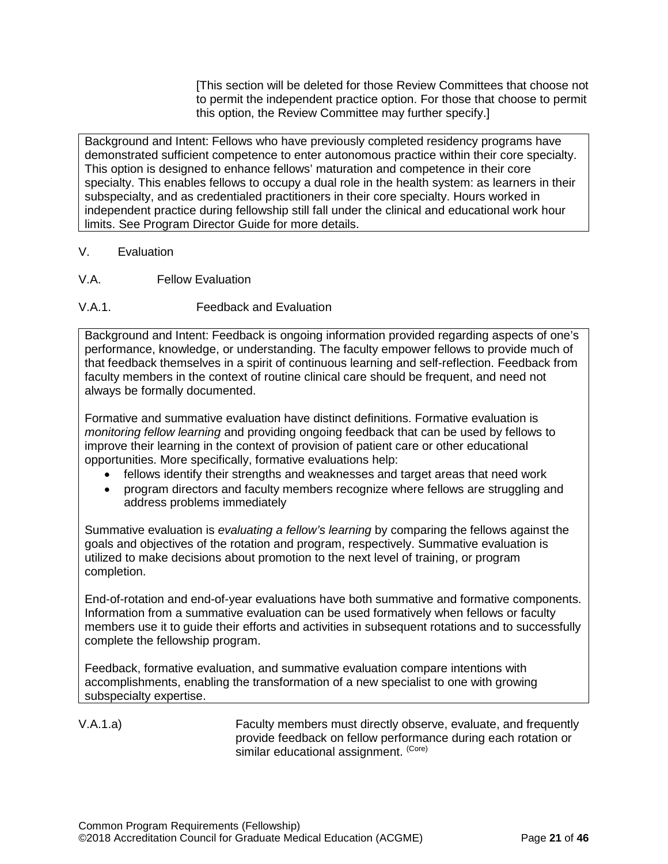[This section will be deleted for those Review Committees that choose not to permit the independent practice option. For those that choose to permit this option, the Review Committee may further specify.]

Background and Intent: Fellows who have previously completed residency programs have demonstrated sufficient competence to enter autonomous practice within their core specialty. This option is designed to enhance fellows' maturation and competence in their core specialty. This enables fellows to occupy a dual role in the health system: as learners in their subspecialty, and as credentialed practitioners in their core specialty. Hours worked in independent practice during fellowship still fall under the clinical and educational work hour limits. See Program Director Guide for more details.

- <span id="page-20-0"></span>V. Evaluation
- <span id="page-20-1"></span>V.A. Fellow Evaluation
- V.A.1. Feedback and Evaluation

Background and Intent: Feedback is ongoing information provided regarding aspects of one's performance, knowledge, or understanding. The faculty empower fellows to provide much of that feedback themselves in a spirit of continuous learning and self-reflection. Feedback from faculty members in the context of routine clinical care should be frequent, and need not always be formally documented.

Formative and summative evaluation have distinct definitions. Formative evaluation is *monitoring fellow learning* and providing ongoing feedback that can be used by fellows to improve their learning in the context of provision of patient care or other educational opportunities. More specifically, formative evaluations help:

- fellows identify their strengths and weaknesses and target areas that need work
- program directors and faculty members recognize where fellows are struggling and address problems immediately

Summative evaluation is *evaluating a fellow's learning* by comparing the fellows against the goals and objectives of the rotation and program, respectively. Summative evaluation is utilized to make decisions about promotion to the next level of training, or program completion.

End-of-rotation and end-of-year evaluations have both summative and formative components. Information from a summative evaluation can be used formatively when fellows or faculty members use it to guide their efforts and activities in subsequent rotations and to successfully complete the fellowship program.

Feedback, formative evaluation, and summative evaluation compare intentions with accomplishments, enabling the transformation of a new specialist to one with growing subspecialty expertise.

V.A.1.a) Faculty members must directly observe, evaluate, and frequently provide feedback on fellow performance during each rotation or similar educational assignment. (Core)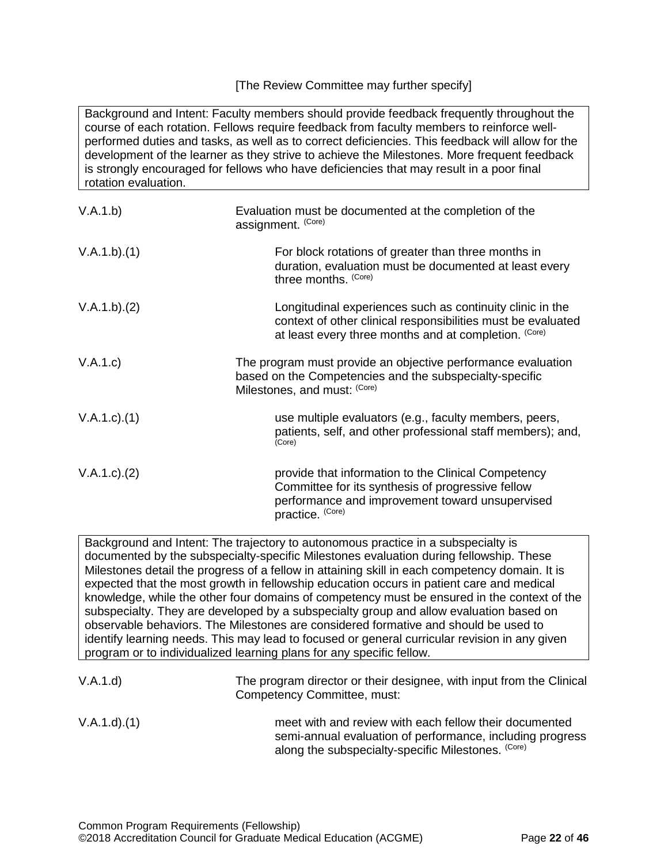# [The Review Committee may further specify]

Background and Intent: Faculty members should provide feedback frequently throughout the course of each rotation. Fellows require feedback from faculty members to reinforce wellperformed duties and tasks, as well as to correct deficiencies. This feedback will allow for the development of the learner as they strive to achieve the Milestones. More frequent feedback is strongly encouraged for fellows who have deficiencies that may result in a poor final rotation evaluation.

| V.A.1.b)          | Evaluation must be documented at the completion of the<br>assignment. (Core)                                                                                                       |
|-------------------|------------------------------------------------------------------------------------------------------------------------------------------------------------------------------------|
| V.A.1.b)(1)       | For block rotations of greater than three months in<br>duration, evaluation must be documented at least every<br>three months. (Core)                                              |
| V.A.1.b)(2)       | Longitudinal experiences such as continuity clinic in the<br>context of other clinical responsibilities must be evaluated<br>at least every three months and at completion. (Core) |
| V.A.1.c)          | The program must provide an objective performance evaluation<br>based on the Competencies and the subspecialty-specific<br>Milestones, and must: (Core)                            |
| $V.A.1.c$ . $(1)$ | use multiple evaluators (e.g., faculty members, peers,<br>patients, self, and other professional staff members); and,<br>(Core)                                                    |
| V.A.1.c). (2)     | provide that information to the Clinical Competency<br>Committee for its synthesis of progressive fellow<br>performance and improvement toward unsupervised<br>practice. (Core)    |

Background and Intent: The trajectory to autonomous practice in a subspecialty is documented by the subspecialty-specific Milestones evaluation during fellowship. These Milestones detail the progress of a fellow in attaining skill in each competency domain. It is expected that the most growth in fellowship education occurs in patient care and medical knowledge, while the other four domains of competency must be ensured in the context of the subspecialty. They are developed by a subspecialty group and allow evaluation based on observable behaviors. The Milestones are considered formative and should be used to identify learning needs. This may lead to focused or general curricular revision in any given program or to individualized learning plans for any specific fellow.

| V.A.1.d)          | The program director or their designee, with input from the Clinical<br>Competency Committee, must:                                                                       |
|-------------------|---------------------------------------------------------------------------------------------------------------------------------------------------------------------------|
| $V.A.1.d$ . $(1)$ | meet with and review with each fellow their documented<br>semi-annual evaluation of performance, including progress<br>along the subspecialty-specific Milestones. (Core) |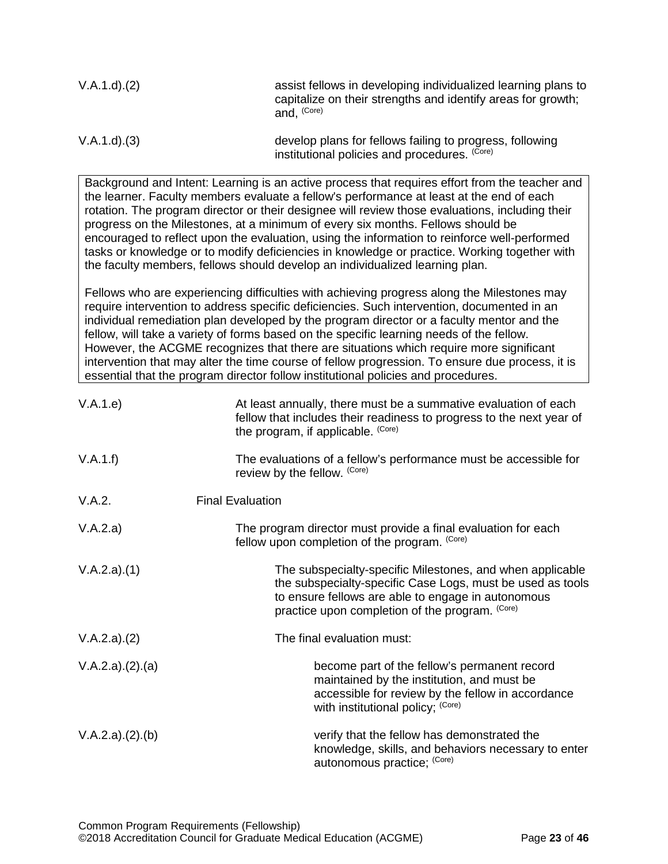| $V.A.1.d$ . $(2)$ | assist fellows in developing individualized learning plans to<br>capitalize on their strengths and identify areas for growth;<br>and. (Core) |
|-------------------|----------------------------------------------------------------------------------------------------------------------------------------------|
| V.A.1.d. (3)      | develop plans for fellows failing to progress, following<br>institutional policies and procedures. (Core)                                    |

Background and Intent: Learning is an active process that requires effort from the teacher and the learner. Faculty members evaluate a fellow's performance at least at the end of each rotation. The program director or their designee will review those evaluations, including their progress on the Milestones, at a minimum of every six months. Fellows should be encouraged to reflect upon the evaluation, using the information to reinforce well-performed tasks or knowledge or to modify deficiencies in knowledge or practice. Working together with the faculty members, fellows should develop an individualized learning plan.

Fellows who are experiencing difficulties with achieving progress along the Milestones may require intervention to address specific deficiencies. Such intervention, documented in an individual remediation plan developed by the program director or a faculty mentor and the fellow, will take a variety of forms based on the specific learning needs of the fellow. However, the ACGME recognizes that there are situations which require more significant intervention that may alter the time course of fellow progression. To ensure due process, it is essential that the program director follow institutional policies and procedures.

| V.A.1.e)        | At least annually, there must be a summative evaluation of each<br>fellow that includes their readiness to progress to the next year of<br>the program, if applicable. (Core)                                                    |
|-----------------|----------------------------------------------------------------------------------------------------------------------------------------------------------------------------------------------------------------------------------|
| V.A.1.f)        | The evaluations of a fellow's performance must be accessible for<br>review by the fellow. (Core)                                                                                                                                 |
| V.A.2.          | <b>Final Evaluation</b>                                                                                                                                                                                                          |
| V.A.2.a)        | The program director must provide a final evaluation for each<br>fellow upon completion of the program. (Core)                                                                                                                   |
| V.A.2.a)(1)     | The subspecialty-specific Milestones, and when applicable<br>the subspecialty-specific Case Logs, must be used as tools<br>to ensure fellows are able to engage in autonomous<br>practice upon completion of the program. (Core) |
| V.A.2.a)(2)     | The final evaluation must:                                                                                                                                                                                                       |
| V.A.2.a)(2).(a) | become part of the fellow's permanent record<br>maintained by the institution, and must be<br>accessible for review by the fellow in accordance<br>with institutional policy; (Core)                                             |
| V.A.2.a)(2).(b) | verify that the fellow has demonstrated the<br>knowledge, skills, and behaviors necessary to enter<br>autonomous practice; (Core)                                                                                                |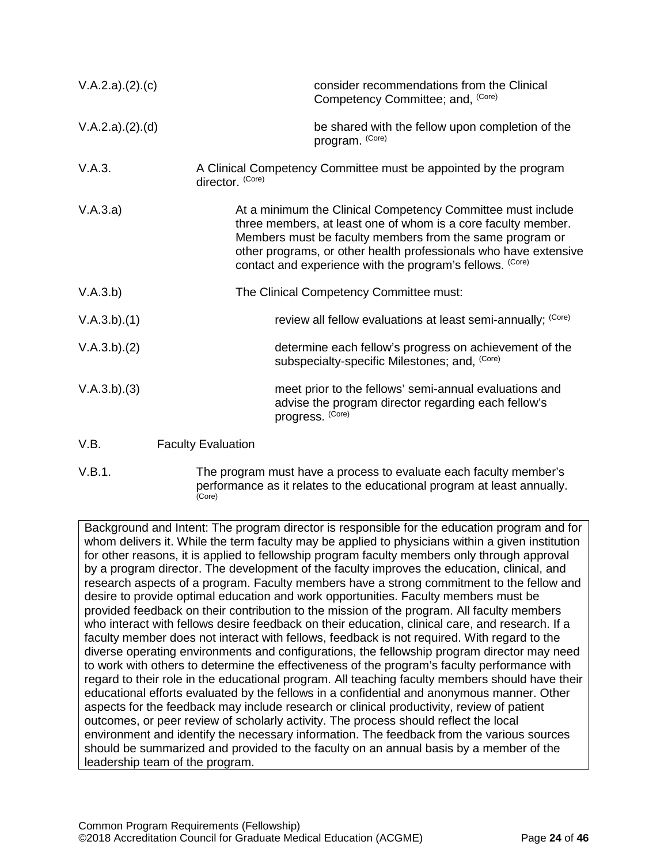| V.A.2.a)(2).(c) | consider recommendations from the Clinical<br>Competency Committee; and, (Core)                                                                                                                                                                                                                                           |
|-----------------|---------------------------------------------------------------------------------------------------------------------------------------------------------------------------------------------------------------------------------------------------------------------------------------------------------------------------|
| V.A.2.a)(2).(d) | be shared with the fellow upon completion of the<br>program. (Core)                                                                                                                                                                                                                                                       |
| V.A.3.          | A Clinical Competency Committee must be appointed by the program<br>director. (Core)                                                                                                                                                                                                                                      |
| V.A.3.a)        | At a minimum the Clinical Competency Committee must include<br>three members, at least one of whom is a core faculty member.<br>Members must be faculty members from the same program or<br>other programs, or other health professionals who have extensive<br>contact and experience with the program's fellows. (Core) |
| V.A.3.b)        | The Clinical Competency Committee must:                                                                                                                                                                                                                                                                                   |
| V.A.3.b)(1)     | review all fellow evaluations at least semi-annually; (Core)                                                                                                                                                                                                                                                              |
| V.A.3.b)(2)     | determine each fellow's progress on achievement of the<br>subspecialty-specific Milestones; and, (Core)                                                                                                                                                                                                                   |
| V.A.3.b)(3)     | meet prior to the fellows' semi-annual evaluations and<br>advise the program director regarding each fellow's<br>progress. (Core)                                                                                                                                                                                         |
| 17 D            | $E_{\text{Coul-}1}$ $E_{\text{val}}$                                                                                                                                                                                                                                                                                      |

<span id="page-23-0"></span>V.B. Faculty Evaluation

V.B.1. The program must have a process to evaluate each faculty member's performance as it relates to the educational program at least annually.<br>(Core)

Background and Intent: The program director is responsible for the education program and for whom delivers it. While the term faculty may be applied to physicians within a given institution for other reasons, it is applied to fellowship program faculty members only through approval by a program director. The development of the faculty improves the education, clinical, and research aspects of a program. Faculty members have a strong commitment to the fellow and desire to provide optimal education and work opportunities. Faculty members must be provided feedback on their contribution to the mission of the program. All faculty members who interact with fellows desire feedback on their education, clinical care, and research. If a faculty member does not interact with fellows, feedback is not required. With regard to the diverse operating environments and configurations, the fellowship program director may need to work with others to determine the effectiveness of the program's faculty performance with regard to their role in the educational program. All teaching faculty members should have their educational efforts evaluated by the fellows in a confidential and anonymous manner. Other aspects for the feedback may include research or clinical productivity, review of patient outcomes, or peer review of scholarly activity. The process should reflect the local environment and identify the necessary information. The feedback from the various sources should be summarized and provided to the faculty on an annual basis by a member of the leadership team of the program.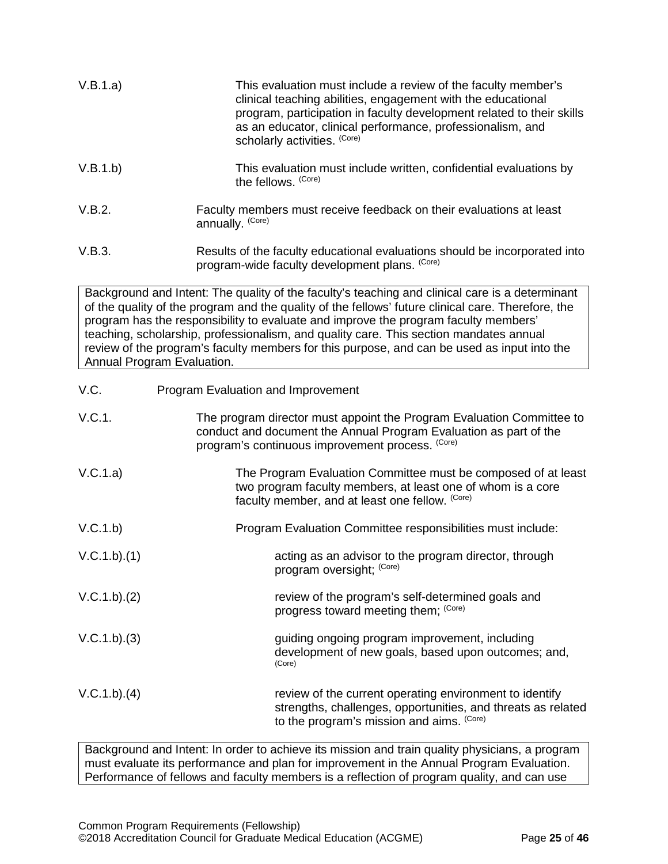| V.B.1.a) | This evaluation must include a review of the faculty member's<br>clinical teaching abilities, engagement with the educational<br>program, participation in faculty development related to their skills<br>as an educator, clinical performance, professionalism, and<br>scholarly activities. (Core) |
|----------|------------------------------------------------------------------------------------------------------------------------------------------------------------------------------------------------------------------------------------------------------------------------------------------------------|
| V.B.1.b) | This evaluation must include written, confidential evaluations by<br>the fellows. (Core)                                                                                                                                                                                                             |
| V.B.2.   | Faculty members must receive feedback on their evaluations at least<br>annually. (Core)                                                                                                                                                                                                              |
| V.B.3.   | Results of the faculty educational evaluations should be incorporated into<br>program-wide faculty development plans. (Core)                                                                                                                                                                         |

Background and Intent: The quality of the faculty's teaching and clinical care is a determinant of the quality of the program and the quality of the fellows' future clinical care. Therefore, the program has the responsibility to evaluate and improve the program faculty members' teaching, scholarship, professionalism, and quality care. This section mandates annual review of the program's faculty members for this purpose, and can be used as input into the Annual Program Evaluation.

<span id="page-24-0"></span>

| V.C.        | Program Evaluation and Improvement                                                                                                                                                             |
|-------------|------------------------------------------------------------------------------------------------------------------------------------------------------------------------------------------------|
| V.C.1.      | The program director must appoint the Program Evaluation Committee to<br>conduct and document the Annual Program Evaluation as part of the<br>program's continuous improvement process. (Core) |
| V.C.1.a)    | The Program Evaluation Committee must be composed of at least<br>two program faculty members, at least one of whom is a core<br>faculty member, and at least one fellow. (Core)                |
| V.C.1.b)    | Program Evaluation Committee responsibilities must include:                                                                                                                                    |
| V.C.1.b)(1) | acting as an advisor to the program director, through<br>program oversight; (Core)                                                                                                             |
| V.C.1.b)(2) | review of the program's self-determined goals and<br>progress toward meeting them; (Core)                                                                                                      |
| V.C.1.b)(3) | guiding ongoing program improvement, including<br>development of new goals, based upon outcomes; and,<br>(Core)                                                                                |
| V.C.1.b)(4) | review of the current operating environment to identify<br>strengths, challenges, opportunities, and threats as related<br>to the program's mission and aims. (Core)                           |

Background and Intent: In order to achieve its mission and train quality physicians, a program must evaluate its performance and plan for improvement in the Annual Program Evaluation. Performance of fellows and faculty members is a reflection of program quality, and can use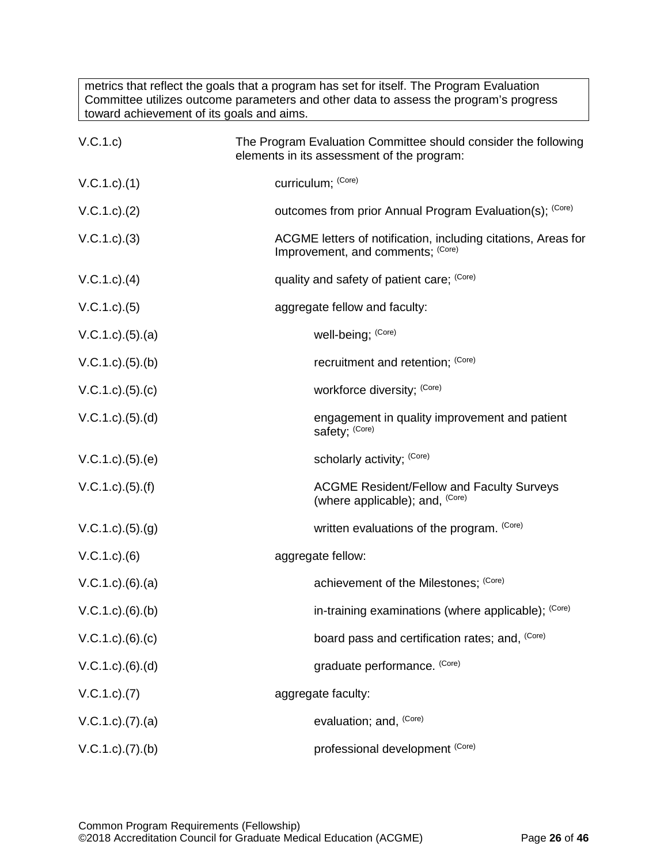metrics that reflect the goals that a program has set for itself. The Program Evaluation Committee utilizes outcome parameters and other data to assess the program's progress toward achievement of its goals and aims.

| V.C.1.c)                  | The Program Evaluation Committee should consider the following<br>elements in its assessment of the program: |
|---------------------------|--------------------------------------------------------------------------------------------------------------|
| V.C.1.c).(1)              | curriculum; (Core)                                                                                           |
| V.C.1.c.)(2)              | outcomes from prior Annual Program Evaluation(s); (Core)                                                     |
| $V.C.1.c).$ (3)           | ACGME letters of notification, including citations, Areas for<br>Improvement, and comments; (Core)           |
| $V.C.1.c$ . $(4)$         | quality and safety of patient care; (Core)                                                                   |
| $V.C.1.c).$ (5)           | aggregate fellow and faculty:                                                                                |
| $V.C.1.c).$ (5).(a)       | well-being; (Core)                                                                                           |
| $V.C.1.c).$ (5).(b)       | recruitment and retention; (Core)                                                                            |
| V.C.1.c). (5). (c)        | workforce diversity; (Core)                                                                                  |
| $V.C.1.c).$ (5). (d)      | engagement in quality improvement and patient<br>safety; (Core)                                              |
| $V.C.1.c).$ (5). (e)      | scholarly activity; (Core)                                                                                   |
| $V.C.1.c$ . $(5)$ . $(f)$ | <b>ACGME Resident/Fellow and Faculty Surveys</b><br>(where applicable); and, (Core)                          |
| V.C.1.c). (5). (g)        | written evaluations of the program. (Core)                                                                   |
| $V.C.1.c).$ (6)           | aggregate fellow:                                                                                            |
| $V.C.1.c).$ $(6).$ $(a)$  | achievement of the Milestones; (Core)                                                                        |
| $V.C.1.c).$ (6).(b)       | in-training examinations (where applicable); (Core)                                                          |
| V.C.1.c). (6). (c)        | board pass and certification rates; and, (Core)                                                              |
| $V.C.1.c).$ $(6).$ $(d)$  | graduate performance. (Core)                                                                                 |
| V.C.1.c.7)                | aggregate faculty:                                                                                           |
| $V.C.1.c$ . $(7).$ (a)    | evaluation; and, (Core)                                                                                      |
| $V.C.1.c$ . $(7).$ (b)    | professional development (Core)                                                                              |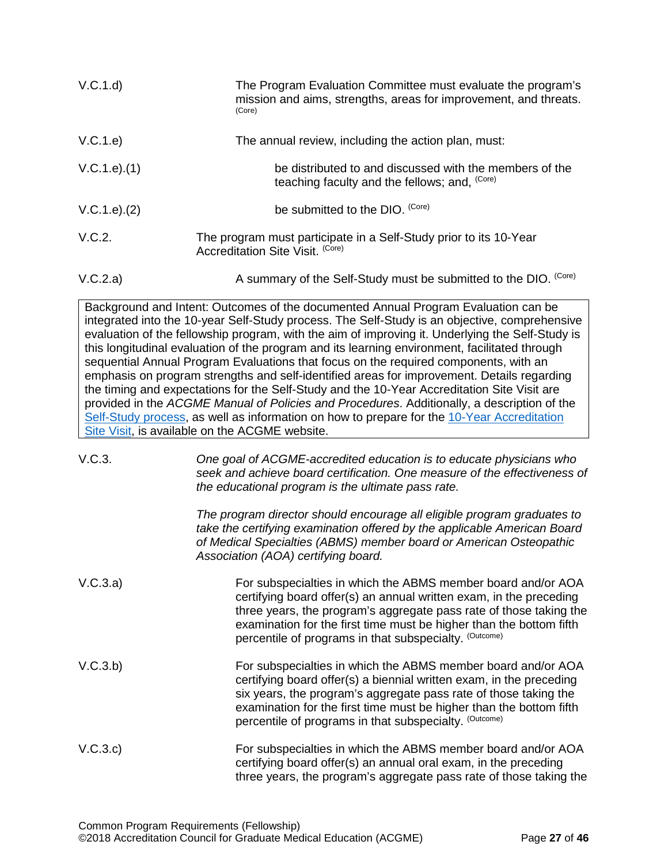| V.C.1.d       | The Program Evaluation Committee must evaluate the program's<br>mission and aims, strengths, areas for improvement, and threats.<br>(Core)                                                                                                                                                                                                                                                                                                                                                                                                                                                                                                                                                                                                                                                                                                                                                                                   |
|---------------|------------------------------------------------------------------------------------------------------------------------------------------------------------------------------------------------------------------------------------------------------------------------------------------------------------------------------------------------------------------------------------------------------------------------------------------------------------------------------------------------------------------------------------------------------------------------------------------------------------------------------------------------------------------------------------------------------------------------------------------------------------------------------------------------------------------------------------------------------------------------------------------------------------------------------|
| V.C.1.e)      | The annual review, including the action plan, must:                                                                                                                                                                                                                                                                                                                                                                                                                                                                                                                                                                                                                                                                                                                                                                                                                                                                          |
| V.C.1.e).(1)  | be distributed to and discussed with the members of the<br>teaching faculty and the fellows; and, (Core)                                                                                                                                                                                                                                                                                                                                                                                                                                                                                                                                                                                                                                                                                                                                                                                                                     |
| V.C.1.e). (2) | be submitted to the DIO. (Core)                                                                                                                                                                                                                                                                                                                                                                                                                                                                                                                                                                                                                                                                                                                                                                                                                                                                                              |
| V.C.2.        | The program must participate in a Self-Study prior to its 10-Year<br>Accreditation Site Visit. (Core)                                                                                                                                                                                                                                                                                                                                                                                                                                                                                                                                                                                                                                                                                                                                                                                                                        |
| V.C.2.a)      | A summary of the Self-Study must be submitted to the DIO. (Core)                                                                                                                                                                                                                                                                                                                                                                                                                                                                                                                                                                                                                                                                                                                                                                                                                                                             |
|               | Background and Intent: Outcomes of the documented Annual Program Evaluation can be<br>integrated into the 10-year Self-Study process. The Self-Study is an objective, comprehensive<br>evaluation of the fellowship program, with the aim of improving it. Underlying the Self-Study is<br>this longitudinal evaluation of the program and its learning environment, facilitated through<br>sequential Annual Program Evaluations that focus on the required components, with an<br>emphasis on program strengths and self-identified areas for improvement. Details regarding<br>the timing and expectations for the Self-Study and the 10-Year Accreditation Site Visit are<br>provided in the ACGME Manual of Policies and Procedures. Additionally, a description of the<br>Self-Study process, as well as information on how to prepare for the 10-Year Accreditation<br>Site Visit, is available on the ACGME website. |
| V.C.3.        | One goal of ACGME-accredited education is to educate physicians who<br>seek and achieve board certification. One measure of the effectiveness of<br>the educational program is the ultimate pass rate.                                                                                                                                                                                                                                                                                                                                                                                                                                                                                                                                                                                                                                                                                                                       |
|               | The program director should encourage all eligible program graduates to<br>take the certifying examination offered by the applicable American Board<br>of Medical Specialties (ABMS) member board or American Osteopathic<br>Association (AOA) certifying board.                                                                                                                                                                                                                                                                                                                                                                                                                                                                                                                                                                                                                                                             |
| V.C.3.a)      | For subspecialties in which the ABMS member board and/or AOA<br>certifying board offer(s) an annual written exam, in the preceding                                                                                                                                                                                                                                                                                                                                                                                                                                                                                                                                                                                                                                                                                                                                                                                           |

- three years, the program's aggregate pass rate of those taking the examination for the first time must be higher than the bottom fifth percentile of programs in that subspecialty. (Outcome)
- V.C.3.b) For subspecialties in which the ABMS member board and/or AOA certifying board offer(s) a biennial written exam, in the preceding six years, the program's aggregate pass rate of those taking the examination for the first time must be higher than the bottom fifth percentile of programs in that subspecialty. (Outcome)
- V.C.3.c) For subspecialties in which the ABMS member board and/or AOA certifying board offer(s) an annual oral exam, in the preceding three years, the program's aggregate pass rate of those taking the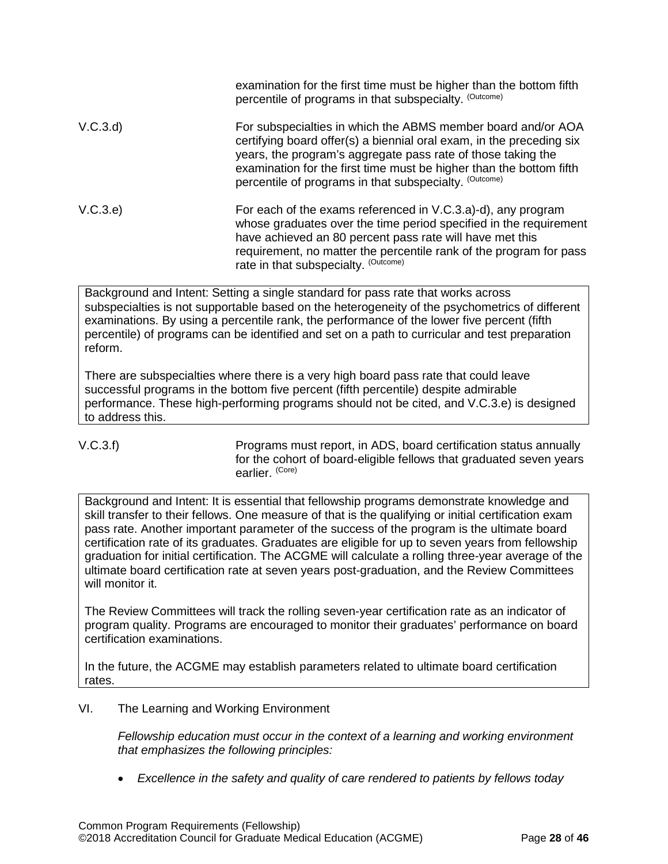|          | examination for the first time must be higher than the bottom fifth<br>percentile of programs in that subspecialty. (Outcome)                                                                                                                                                                                                         |
|----------|---------------------------------------------------------------------------------------------------------------------------------------------------------------------------------------------------------------------------------------------------------------------------------------------------------------------------------------|
| V.C.3.d) | For subspecialties in which the ABMS member board and/or AOA<br>certifying board offer(s) a biennial oral exam, in the preceding six<br>years, the program's aggregate pass rate of those taking the<br>examination for the first time must be higher than the bottom fifth<br>percentile of programs in that subspecialty. (Outcome) |
| V.C.3.e) | For each of the exams referenced in V.C.3.a)-d), any program<br>whose graduates over the time period specified in the requirement<br>have achieved an 80 percent pass rate will have met this<br>requirement, no matter the percentile rank of the program for pass<br>rate in that subspecialty. (Outcome)                           |

Background and Intent: Setting a single standard for pass rate that works across subspecialties is not supportable based on the heterogeneity of the psychometrics of different examinations. By using a percentile rank, the performance of the lower five percent (fifth percentile) of programs can be identified and set on a path to curricular and test preparation reform.

There are subspecialties where there is a very high board pass rate that could leave successful programs in the bottom five percent (fifth percentile) despite admirable performance. These high-performing programs should not be cited, and V.C.3.e) is designed to address this.

V.C.3.f) Programs must report, in ADS, board certification status annually for the cohort of board-eligible fellows that graduated seven years earlier. (Core)

Background and Intent: It is essential that fellowship programs demonstrate knowledge and skill transfer to their fellows. One measure of that is the qualifying or initial certification exam pass rate. Another important parameter of the success of the program is the ultimate board certification rate of its graduates. Graduates are eligible for up to seven years from fellowship graduation for initial certification. The ACGME will calculate a rolling three-year average of the ultimate board certification rate at seven years post-graduation, and the Review Committees will monitor it.

The Review Committees will track the rolling seven-year certification rate as an indicator of program quality. Programs are encouraged to monitor their graduates' performance on board certification examinations.

In the future, the ACGME may establish parameters related to ultimate board certification rates.

<span id="page-27-0"></span>VI. The Learning and Working Environment

*Fellowship education must occur in the context of a learning and working environment that emphasizes the following principles:*

• *Excellence in the safety and quality of care rendered to patients by fellows today*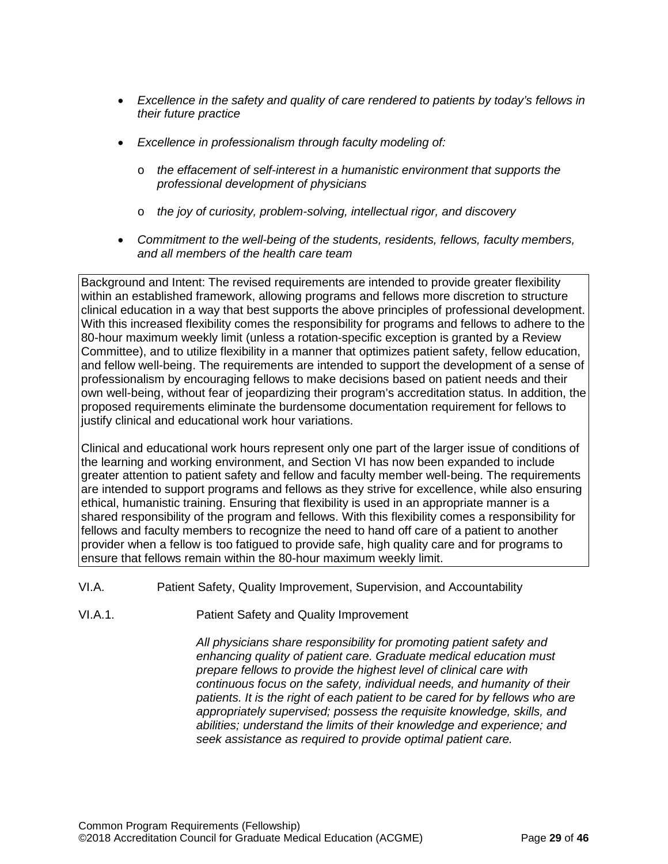- *Excellence in the safety and quality of care rendered to patients by today's fellows in their future practice*
- *Excellence in professionalism through faculty modeling of:*
	- o *the effacement of self-interest in a humanistic environment that supports the professional development of physicians*
	- o *the joy of curiosity, problem-solving, intellectual rigor, and discovery*
- *Commitment to the well-being of the students, residents, fellows, faculty members, and all members of the health care team*

Background and Intent: The revised requirements are intended to provide greater flexibility within an established framework, allowing programs and fellows more discretion to structure clinical education in a way that best supports the above principles of professional development. With this increased flexibility comes the responsibility for programs and fellows to adhere to the 80-hour maximum weekly limit (unless a rotation-specific exception is granted by a Review Committee), and to utilize flexibility in a manner that optimizes patient safety, fellow education, and fellow well-being. The requirements are intended to support the development of a sense of professionalism by encouraging fellows to make decisions based on patient needs and their own well-being, without fear of jeopardizing their program's accreditation status. In addition, the proposed requirements eliminate the burdensome documentation requirement for fellows to justify clinical and educational work hour variations.

Clinical and educational work hours represent only one part of the larger issue of conditions of the learning and working environment, and Section VI has now been expanded to include greater attention to patient safety and fellow and faculty member well-being. The requirements are intended to support programs and fellows as they strive for excellence, while also ensuring ethical, humanistic training. Ensuring that flexibility is used in an appropriate manner is a shared responsibility of the program and fellows. With this flexibility comes a responsibility for fellows and faculty members to recognize the need to hand off care of a patient to another provider when a fellow is too fatigued to provide safe, high quality care and for programs to ensure that fellows remain within the 80-hour maximum weekly limit.

- <span id="page-28-0"></span>VI.A. Patient Safety, Quality Improvement, Supervision, and Accountability
- VI.A.1. Patient Safety and Quality Improvement

*All physicians share responsibility for promoting patient safety and enhancing quality of patient care. Graduate medical education must prepare fellows to provide the highest level of clinical care with continuous focus on the safety, individual needs, and humanity of their patients. It is the right of each patient to be cared for by fellows who are appropriately supervised; possess the requisite knowledge, skills, and abilities; understand the limits of their knowledge and experience; and seek assistance as required to provide optimal patient care.*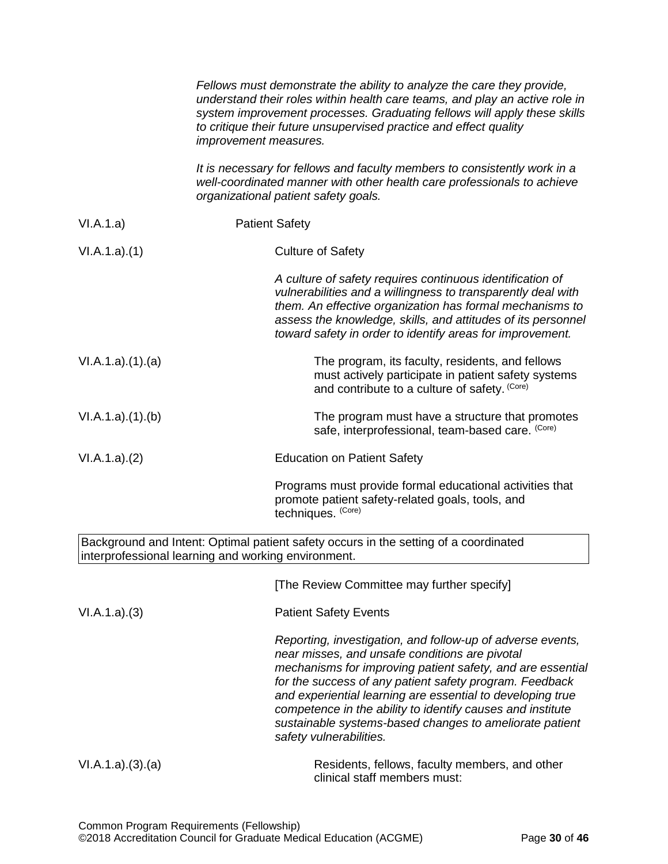|                 | Fellows must demonstrate the ability to analyze the care they provide,<br>understand their roles within health care teams, and play an active role in<br>system improvement processes. Graduating fellows will apply these skills<br>to critique their future unsupervised practice and effect quality<br><i>improvement measures.</i>                                                                                                                  |
|-----------------|---------------------------------------------------------------------------------------------------------------------------------------------------------------------------------------------------------------------------------------------------------------------------------------------------------------------------------------------------------------------------------------------------------------------------------------------------------|
|                 | It is necessary for fellows and faculty members to consistently work in a<br>well-coordinated manner with other health care professionals to achieve<br>organizational patient safety goals.                                                                                                                                                                                                                                                            |
| VI.A.1.a)       | <b>Patient Safety</b>                                                                                                                                                                                                                                                                                                                                                                                                                                   |
| VI.A.1.a)(1)    | <b>Culture of Safety</b>                                                                                                                                                                                                                                                                                                                                                                                                                                |
|                 | A culture of safety requires continuous identification of<br>vulnerabilities and a willingness to transparently deal with<br>them. An effective organization has formal mechanisms to<br>assess the knowledge, skills, and attitudes of its personnel<br>toward safety in order to identify areas for improvement.                                                                                                                                      |
| VI.A.1.a)(1)(a) | The program, its faculty, residents, and fellows<br>must actively participate in patient safety systems<br>and contribute to a culture of safety. (Core)                                                                                                                                                                                                                                                                                                |
| VI.A.1.a)(1)(b) | The program must have a structure that promotes<br>safe, interprofessional, team-based care. (Core)                                                                                                                                                                                                                                                                                                                                                     |
| VI.A.1.a)(2)    | <b>Education on Patient Safety</b>                                                                                                                                                                                                                                                                                                                                                                                                                      |
|                 | Programs must provide formal educational activities that<br>promote patient safety-related goals, tools, and<br>techniques. (Core)                                                                                                                                                                                                                                                                                                                      |
|                 | Background and Intent: Optimal patient safety occurs in the setting of a coordinated<br>interprofessional learning and working environment.                                                                                                                                                                                                                                                                                                             |
|                 | [The Review Committee may further specify]                                                                                                                                                                                                                                                                                                                                                                                                              |
| VI.A.1.a)(3)    | <b>Patient Safety Events</b>                                                                                                                                                                                                                                                                                                                                                                                                                            |
|                 | Reporting, investigation, and follow-up of adverse events,<br>near misses, and unsafe conditions are pivotal<br>mechanisms for improving patient safety, and are essential<br>for the success of any patient safety program. Feedback<br>and experiential learning are essential to developing true<br>competence in the ability to identify causes and institute<br>sustainable systems-based changes to ameliorate patient<br>safety vulnerabilities. |
| VI.A.1.a)(3)(a) | Residents, fellows, faculty members, and other<br>clinical staff members must:                                                                                                                                                                                                                                                                                                                                                                          |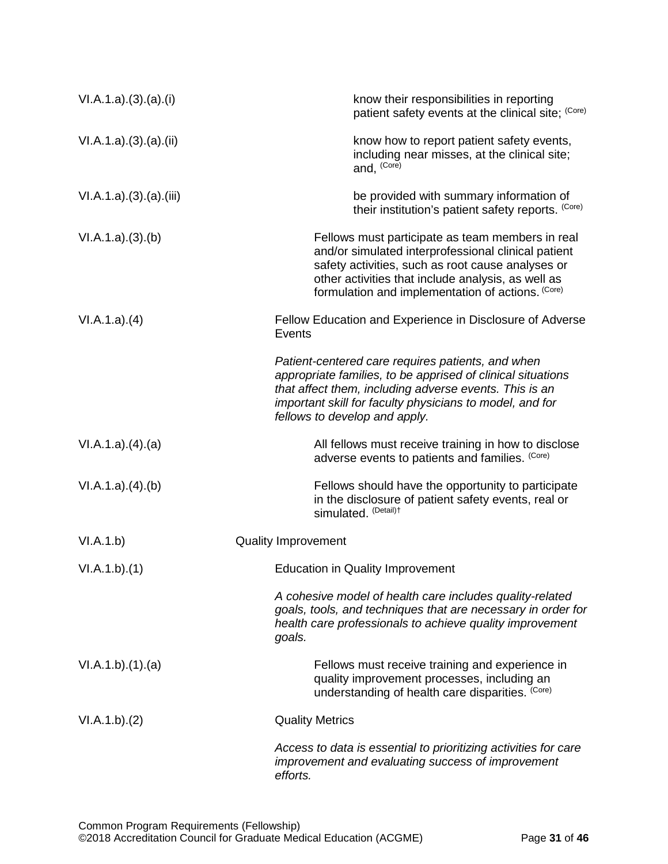| VI.A.1.a)(3).(a).(i) | know their responsibilities in reporting<br>patient safety events at the clinical site; (Core)                                                                                                                                                                          |
|----------------------|-------------------------------------------------------------------------------------------------------------------------------------------------------------------------------------------------------------------------------------------------------------------------|
| VI.A.1.a)(3)(a)(ii)  | know how to report patient safety events,<br>including near misses, at the clinical site;<br>and, (Core)                                                                                                                                                                |
| VI.A.1.a)(3)(a)(iii) | be provided with summary information of<br>their institution's patient safety reports. (Core)                                                                                                                                                                           |
| VI.A.1.a)(3)(b)      | Fellows must participate as team members in real<br>and/or simulated interprofessional clinical patient<br>safety activities, such as root cause analyses or<br>other activities that include analysis, as well as<br>formulation and implementation of actions. (Core) |
| VI.A.1.a)(4)         | Fellow Education and Experience in Disclosure of Adverse<br>Events                                                                                                                                                                                                      |
|                      | Patient-centered care requires patients, and when<br>appropriate families, to be apprised of clinical situations<br>that affect them, including adverse events. This is an<br>important skill for faculty physicians to model, and for<br>fellows to develop and apply. |
| VI.A.1.a)(4).(a)     | All fellows must receive training in how to disclose<br>adverse events to patients and families. (Core)                                                                                                                                                                 |
| VI.A.1.a)(4)(b)      | Fellows should have the opportunity to participate<br>in the disclosure of patient safety events, real or<br>simulated. (Detail)t                                                                                                                                       |
| VI.A.1.b)            | <b>Quality Improvement</b>                                                                                                                                                                                                                                              |
| VI.A.1.b)(1)         | <b>Education in Quality Improvement</b>                                                                                                                                                                                                                                 |
|                      | A cohesive model of health care includes quality-related<br>goals, tools, and techniques that are necessary in order for<br>health care professionals to achieve quality improvement<br>goals.                                                                          |
| VI.A.1.b)(1)(a)      | Fellows must receive training and experience in<br>quality improvement processes, including an<br>understanding of health care disparities. (Core)                                                                                                                      |
| VI.A.1.b)(2)         | <b>Quality Metrics</b>                                                                                                                                                                                                                                                  |
|                      | Access to data is essential to prioritizing activities for care<br>improvement and evaluating success of improvement<br>efforts.                                                                                                                                        |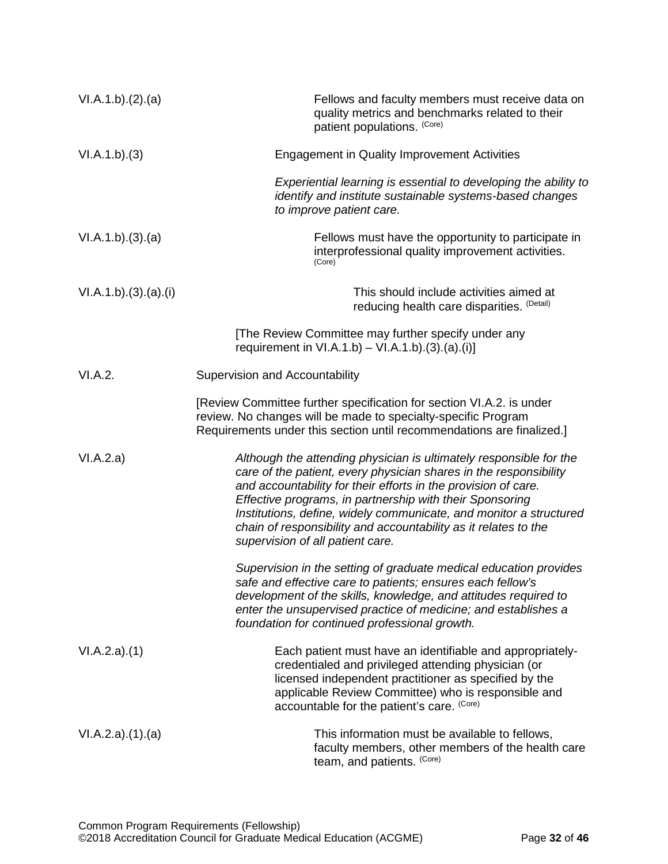| VI.A.1.b)(2).(a)   | Fellows and faculty members must receive data on<br>quality metrics and benchmarks related to their<br>patient populations. (Core)                                                                                                                                                                                                                                                                                                                 |
|--------------------|----------------------------------------------------------------------------------------------------------------------------------------------------------------------------------------------------------------------------------------------------------------------------------------------------------------------------------------------------------------------------------------------------------------------------------------------------|
| VI.A.1.b)(3)       | <b>Engagement in Quality Improvement Activities</b>                                                                                                                                                                                                                                                                                                                                                                                                |
|                    | Experiential learning is essential to developing the ability to<br>identify and institute sustainable systems-based changes<br>to improve patient care.                                                                                                                                                                                                                                                                                            |
| VI.A.1.b)(3).(a)   | Fellows must have the opportunity to participate in<br>interprofessional quality improvement activities.<br>(Core)                                                                                                                                                                                                                                                                                                                                 |
| VI.A.1.b)(3)(a)(i) | This should include activities aimed at<br>reducing health care disparities. (Detail)                                                                                                                                                                                                                                                                                                                                                              |
|                    | [The Review Committee may further specify under any<br>requirement in $V1.A.1.b$ – $V1.A.1.b$ . (3). (a). (i)]                                                                                                                                                                                                                                                                                                                                     |
| VI.A.2.            | Supervision and Accountability                                                                                                                                                                                                                                                                                                                                                                                                                     |
|                    | [Review Committee further specification for section VI.A.2. is under<br>review. No changes will be made to specialty-specific Program<br>Requirements under this section until recommendations are finalized.]                                                                                                                                                                                                                                     |
| VI.A.2.a)          | Although the attending physician is ultimately responsible for the<br>care of the patient, every physician shares in the responsibility<br>and accountability for their efforts in the provision of care.<br>Effective programs, in partnership with their Sponsoring<br>Institutions, define, widely communicate, and monitor a structured<br>chain of responsibility and accountability as it relates to the<br>supervision of all patient care. |
|                    | Supervision in the setting of graduate medical education provides<br>safe and effective care to patients; ensures each fellow's<br>development of the skills, knowledge, and attitudes required to<br>enter the unsupervised practice of medicine; and establishes a<br>foundation for continued professional growth.                                                                                                                              |
| VI.A.2.a)(1)       | Each patient must have an identifiable and appropriately-<br>credentialed and privileged attending physician (or<br>licensed independent practitioner as specified by the<br>applicable Review Committee) who is responsible and<br>accountable for the patient's care. (Core)                                                                                                                                                                     |
| VI.A.2.a)(1).(a)   | This information must be available to fellows,<br>faculty members, other members of the health care<br>team, and patients. (Core)                                                                                                                                                                                                                                                                                                                  |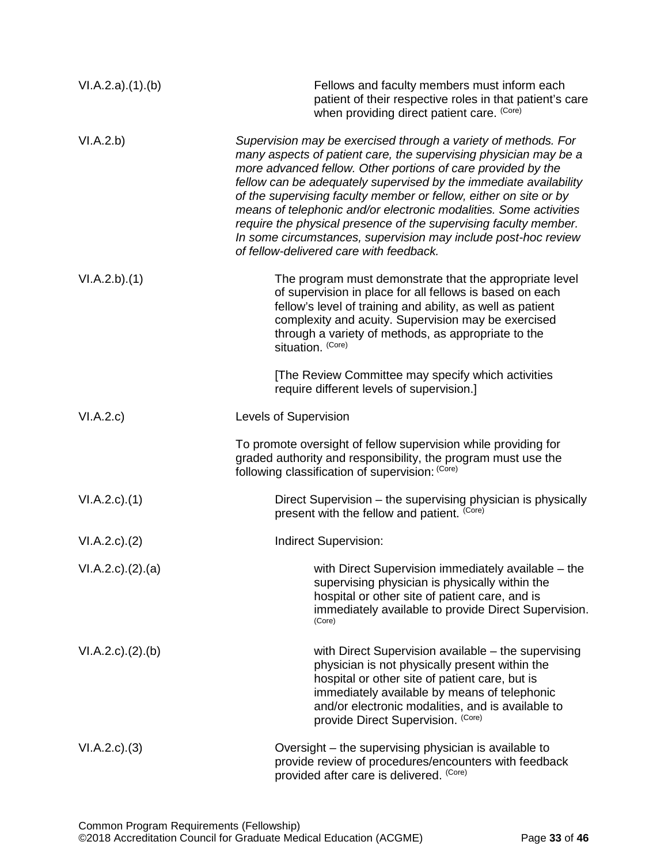| VI.A.2.a)(1)(b)     | Fellows and faculty members must inform each<br>patient of their respective roles in that patient's care<br>when providing direct patient care. (Core)                                                                                                                                                                                                                                                                                                                                                                                                                                             |
|---------------------|----------------------------------------------------------------------------------------------------------------------------------------------------------------------------------------------------------------------------------------------------------------------------------------------------------------------------------------------------------------------------------------------------------------------------------------------------------------------------------------------------------------------------------------------------------------------------------------------------|
| VI.A.2.b)           | Supervision may be exercised through a variety of methods. For<br>many aspects of patient care, the supervising physician may be a<br>more advanced fellow. Other portions of care provided by the<br>fellow can be adequately supervised by the immediate availability<br>of the supervising faculty member or fellow, either on site or by<br>means of telephonic and/or electronic modalities. Some activities<br>require the physical presence of the supervising faculty member.<br>In some circumstances, supervision may include post-hoc review<br>of fellow-delivered care with feedback. |
| VI.A.2.b)(1)        | The program must demonstrate that the appropriate level<br>of supervision in place for all fellows is based on each<br>fellow's level of training and ability, as well as patient<br>complexity and acuity. Supervision may be exercised<br>through a variety of methods, as appropriate to the<br>situation. (Core)                                                                                                                                                                                                                                                                               |
|                     | [The Review Committee may specify which activities<br>require different levels of supervision.]                                                                                                                                                                                                                                                                                                                                                                                                                                                                                                    |
| VI.A.2.c            | Levels of Supervision                                                                                                                                                                                                                                                                                                                                                                                                                                                                                                                                                                              |
|                     | To promote oversight of fellow supervision while providing for<br>graded authority and responsibility, the program must use the<br>following classification of supervision: (Core)                                                                                                                                                                                                                                                                                                                                                                                                                 |
| $VI.A.2.c$ . $(1)$  | Direct Supervision – the supervising physician is physically<br>present with the fellow and patient. (Core)                                                                                                                                                                                                                                                                                                                                                                                                                                                                                        |
| $VI.A.2.c$ . $(2)$  | Indirect Supervision:                                                                                                                                                                                                                                                                                                                                                                                                                                                                                                                                                                              |
| VI.A.2.c). (2). (a) | with Direct Supervision immediately available - the<br>supervising physician is physically within the<br>hospital or other site of patient care, and is<br>immediately available to provide Direct Supervision.<br>(Core)                                                                                                                                                                                                                                                                                                                                                                          |
| VI.A.2.c). (2). (b) | with Direct Supervision available – the supervising<br>physician is not physically present within the<br>hospital or other site of patient care, but is<br>immediately available by means of telephonic<br>and/or electronic modalities, and is available to<br>provide Direct Supervision. (Core)                                                                                                                                                                                                                                                                                                 |
| $VI.A.2.c).$ (3)    | Oversight – the supervising physician is available to<br>provide review of procedures/encounters with feedback<br>provided after care is delivered. (Core)                                                                                                                                                                                                                                                                                                                                                                                                                                         |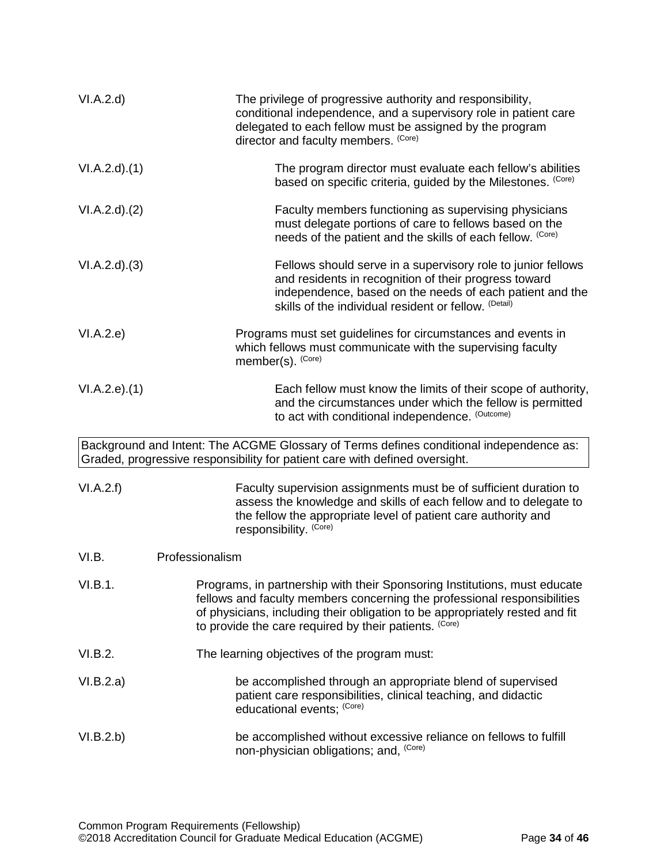<span id="page-33-0"></span>

| VI.A.2.d            | The privilege of progressive authority and responsibility,<br>conditional independence, and a supervisory role in patient care<br>delegated to each fellow must be assigned by the program<br>director and faculty members. (Core)                                                              |
|---------------------|-------------------------------------------------------------------------------------------------------------------------------------------------------------------------------------------------------------------------------------------------------------------------------------------------|
| VI.A.2.d)(1)        | The program director must evaluate each fellow's abilities<br>based on specific criteria, guided by the Milestones. (Core)                                                                                                                                                                      |
| VI.A.2.d)(2)        | Faculty members functioning as supervising physicians<br>must delegate portions of care to fellows based on the<br>needs of the patient and the skills of each fellow. (Core)                                                                                                                   |
| VI.A.2.d)(3)        | Fellows should serve in a supervisory role to junior fellows<br>and residents in recognition of their progress toward<br>independence, based on the needs of each patient and the<br>skills of the individual resident or fellow. (Detail)                                                      |
| VI.A.2.e)           | Programs must set guidelines for circumstances and events in<br>which fellows must communicate with the supervising faculty<br>member(s). (Core)                                                                                                                                                |
| $VI.A.2.e$ ). $(1)$ | Each fellow must know the limits of their scope of authority,<br>and the circumstances under which the fellow is permitted<br>to act with conditional independence. (Outcome)                                                                                                                   |
|                     | Background and Intent: The ACGME Glossary of Terms defines conditional independence as:<br>Graded, progressive responsibility for patient care with defined oversight.                                                                                                                          |
| VI.A.2.f)           | Faculty supervision assignments must be of sufficient duration to<br>assess the knowledge and skills of each fellow and to delegate to<br>the fellow the appropriate level of patient care authority and<br>responsibility. (Core)                                                              |
| VI.B.               | Professionalism                                                                                                                                                                                                                                                                                 |
| VI.B.1.             | Programs, in partnership with their Sponsoring Institutions, must educate<br>fellows and faculty members concerning the professional responsibilities<br>of physicians, including their obligation to be appropriately rested and fit<br>to provide the care required by their patients. (Core) |
| VI.B.2.             | The learning objectives of the program must:                                                                                                                                                                                                                                                    |
| VI.B.2.a)           | be accomplished through an appropriate blend of supervised<br>patient care responsibilities, clinical teaching, and didactic<br>educational events; (Core)                                                                                                                                      |
| VI.B.2.b)           | be accomplished without excessive reliance on fellows to fulfill<br>non-physician obligations; and, (Core)                                                                                                                                                                                      |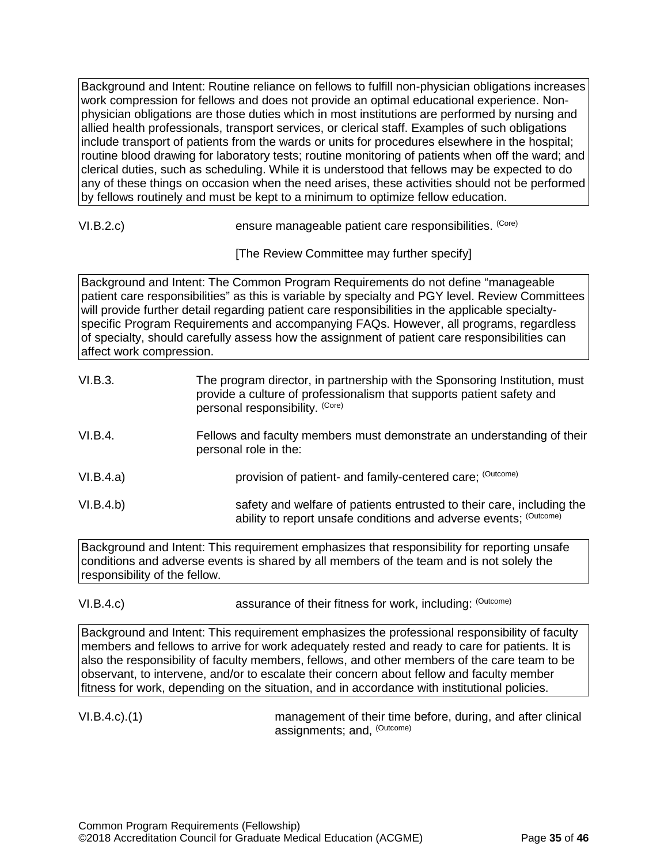Background and Intent: Routine reliance on fellows to fulfill non-physician obligations increases work compression for fellows and does not provide an optimal educational experience. Nonphysician obligations are those duties which in most institutions are performed by nursing and allied health professionals, transport services, or clerical staff. Examples of such obligations include transport of patients from the wards or units for procedures elsewhere in the hospital; routine blood drawing for laboratory tests; routine monitoring of patients when off the ward; and clerical duties, such as scheduling. While it is understood that fellows may be expected to do any of these things on occasion when the need arises, these activities should not be performed by fellows routinely and must be kept to a minimum to optimize fellow education.

VI.B.2.c) ensure manageable patient care responsibilities. (Core)

[The Review Committee may further specify]

Background and Intent: The Common Program Requirements do not define "manageable patient care responsibilities" as this is variable by specialty and PGY level. Review Committees will provide further detail regarding patient care responsibilities in the applicable specialtyspecific Program Requirements and accompanying FAQs. However, all programs, regardless of specialty, should carefully assess how the assignment of patient care responsibilities can affect work compression.

| VI.B.3.   | The program director, in partnership with the Sponsoring Institution, must<br>provide a culture of professionalism that supports patient safety and<br>personal responsibility. (Core) |
|-----------|----------------------------------------------------------------------------------------------------------------------------------------------------------------------------------------|
| VI.B.4.   | Fellows and faculty members must demonstrate an understanding of their<br>personal role in the:                                                                                        |
| VI.B.4.a) | provision of patient- and family-centered care; (Outcome)                                                                                                                              |
| VI.B.4.b) | safety and welfare of patients entrusted to their care, including the<br>ability to report unsafe conditions and adverse events; (Outcome)                                             |

Background and Intent: This requirement emphasizes that responsibility for reporting unsafe conditions and adverse events is shared by all members of the team and is not solely the responsibility of the fellow.

VI.B.4.c) assurance of their fitness for work, including: (Outcome) assurance of their fitness for work, including:

Background and Intent: This requirement emphasizes the professional responsibility of faculty members and fellows to arrive for work adequately rested and ready to care for patients. It is also the responsibility of faculty members, fellows, and other members of the care team to be observant, to intervene, and/or to escalate their concern about fellow and faculty member fitness for work, depending on the situation, and in accordance with institutional policies.

VI.B.4.c).(1) management of their time before, during, and after clinical assignments; and, (Outcome)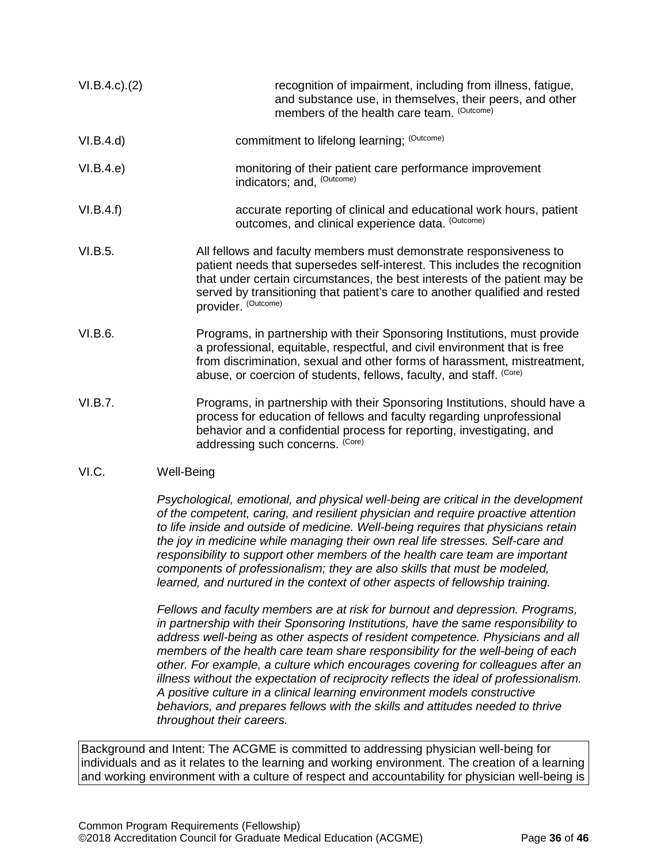| $VI.B.4.c$ ). $(2)$ | recognition of impairment, including from illness, fatigue,<br>and substance use, in themselves, their peers, and other<br>members of the health care team. (Outcome)                                                                                                                                                                |
|---------------------|--------------------------------------------------------------------------------------------------------------------------------------------------------------------------------------------------------------------------------------------------------------------------------------------------------------------------------------|
| VI.B.4.d)           | commitment to lifelong learning; (Outcome)                                                                                                                                                                                                                                                                                           |
| VI.B.4.e)           | monitoring of their patient care performance improvement<br>indicators; and, (Outcome)                                                                                                                                                                                                                                               |
| VI.B.4.f)           | accurate reporting of clinical and educational work hours, patient<br>outcomes, and clinical experience data. (Outcome)                                                                                                                                                                                                              |
| VI.B.5.             | All fellows and faculty members must demonstrate responsiveness to<br>patient needs that supersedes self-interest. This includes the recognition<br>that under certain circumstances, the best interests of the patient may be<br>served by transitioning that patient's care to another qualified and rested<br>provider. (Outcome) |
| VI.B.6.             | Programs, in partnership with their Sponsoring Institutions, must provide<br>a professional, equitable, respectful, and civil environment that is free<br>from discrimination, sexual and other forms of harassment, mistreatment,<br>abuse, or coercion of students, fellows, faculty, and staff. (Core)                            |
| VI.B.7.             | Programs, in partnership with their Sponsoring Institutions, should have a<br>process for education of fellows and faculty regarding unprofessional<br>behavior and a confidential process for reporting, investigating, and<br>addressing such concerns. (Core)                                                                     |

# <span id="page-35-0"></span>VI.C. Well-Being

*Psychological, emotional, and physical well-being are critical in the development of the competent, caring, and resilient physician and require proactive attention to life inside and outside of medicine. Well-being requires that physicians retain the joy in medicine while managing their own real life stresses. Self-care and responsibility to support other members of the health care team are important components of professionalism; they are also skills that must be modeled, learned, and nurtured in the context of other aspects of fellowship training.*

*Fellows and faculty members are at risk for burnout and depression. Programs, in partnership with their Sponsoring Institutions, have the same responsibility to address well-being as other aspects of resident competence. Physicians and all members of the health care team share responsibility for the well-being of each other. For example, a culture which encourages covering for colleagues after an illness without the expectation of reciprocity reflects the ideal of professionalism. A positive culture in a clinical learning environment models constructive behaviors, and prepares fellows with the skills and attitudes needed to thrive throughout their careers.*

Background and Intent: The ACGME is committed to addressing physician well-being for individuals and as it relates to the learning and working environment. The creation of a learning and working environment with a culture of respect and accountability for physician well-being is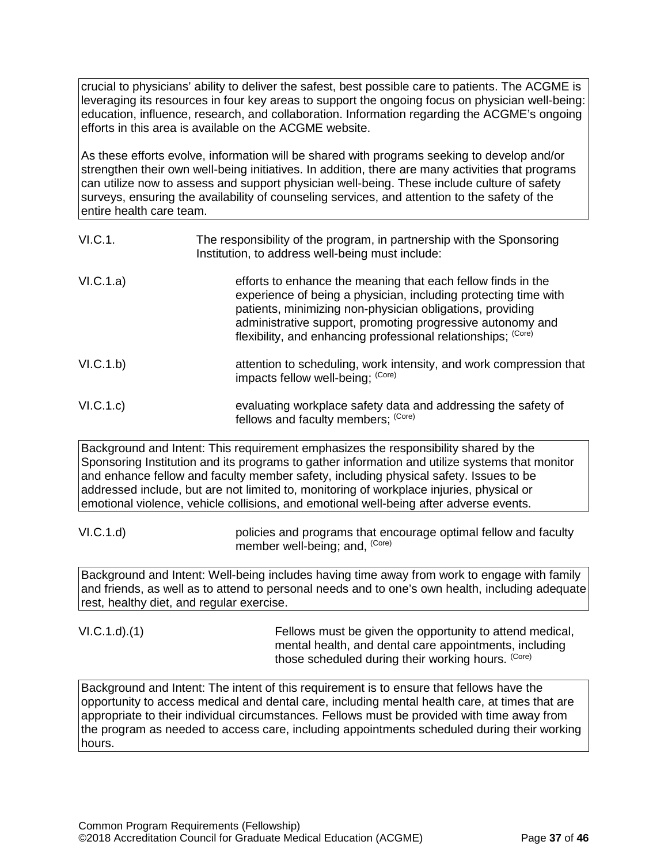crucial to physicians' ability to deliver the safest, best possible care to patients. The ACGME is leveraging its resources in four key areas to support the ongoing focus on physician well-being: education, influence, research, and collaboration. Information regarding the ACGME's ongoing efforts in this area is available on the ACGME website.

As these efforts evolve, information will be shared with programs seeking to develop and/or strengthen their own well-being initiatives. In addition, there are many activities that programs can utilize now to assess and support physician well-being. These include culture of safety surveys, ensuring the availability of counseling services, and attention to the safety of the entire health care team.

| VI.C.1.   | The responsibility of the program, in partnership with the Sponsoring<br>Institution, to address well-being must include:                                                                                                                                                                                                   |
|-----------|-----------------------------------------------------------------------------------------------------------------------------------------------------------------------------------------------------------------------------------------------------------------------------------------------------------------------------|
| VI.C.1.a) | efforts to enhance the meaning that each fellow finds in the<br>experience of being a physician, including protecting time with<br>patients, minimizing non-physician obligations, providing<br>administrative support, promoting progressive autonomy and<br>flexibility, and enhancing professional relationships; (Core) |
| VI.C.1.b) | attention to scheduling, work intensity, and work compression that<br>impacts fellow well-being; (Core)                                                                                                                                                                                                                     |
| VI.C.1.c) | evaluating workplace safety data and addressing the safety of<br>fellows and faculty members; (Core)                                                                                                                                                                                                                        |

Background and Intent: This requirement emphasizes the responsibility shared by the Sponsoring Institution and its programs to gather information and utilize systems that monitor and enhance fellow and faculty member safety, including physical safety. Issues to be addressed include, but are not limited to, monitoring of workplace injuries, physical or emotional violence, vehicle collisions, and emotional well-being after adverse events.

VI.C.1.d) policies and programs that encourage optimal fellow and faculty member well-being; and, (Core)

Background and Intent: Well-being includes having time away from work to engage with family and friends, as well as to attend to personal needs and to one's own health, including adequate rest, healthy diet, and regular exercise.

VI.C.1.d).(1) Fellows must be given the opportunity to attend medical, mental health, and dental care appointments, including those scheduled during their working hours. (Core)

Background and Intent: The intent of this requirement is to ensure that fellows have the opportunity to access medical and dental care, including mental health care, at times that are appropriate to their individual circumstances. Fellows must be provided with time away from the program as needed to access care, including appointments scheduled during their working hours.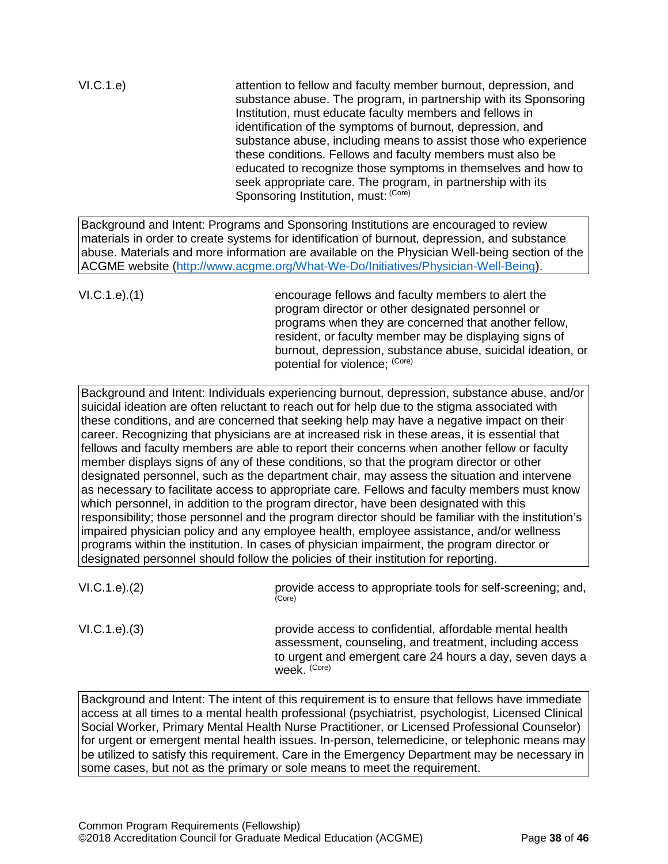VI.C.1.e) attention to fellow and faculty member burnout, depression, and substance abuse. The program, in partnership with its Sponsoring Institution, must educate faculty members and fellows in identification of the symptoms of burnout, depression, and substance abuse, including means to assist those who experience these conditions. Fellows and faculty members must also be educated to recognize those symptoms in themselves and how to seek appropriate care. The program, in partnership with its Sponsoring Institution, must: (Core)

Background and Intent: Programs and Sponsoring Institutions are encouraged to review materials in order to create systems for identification of burnout, depression, and substance abuse. Materials and more information are available on the Physician Well-being section of the ACGME website [\(http://www.acgme.org/What-We-Do/Initiatives/Physician-Well-Being\)](http://www.acgme.org/What-We-Do/Initiatives/Physician-Well-Being).

VI.C.1.e).(1) encourage fellows and faculty members to alert the program director or other designated personnel or programs when they are concerned that another fellow, resident, or faculty member may be displaying signs of burnout, depression, substance abuse, suicidal ideation, or potential for violence; (Core)

Background and Intent: Individuals experiencing burnout, depression, substance abuse, and/or suicidal ideation are often reluctant to reach out for help due to the stigma associated with these conditions, and are concerned that seeking help may have a negative impact on their career. Recognizing that physicians are at increased risk in these areas, it is essential that fellows and faculty members are able to report their concerns when another fellow or faculty member displays signs of any of these conditions, so that the program director or other designated personnel, such as the department chair, may assess the situation and intervene as necessary to facilitate access to appropriate care. Fellows and faculty members must know which personnel, in addition to the program director, have been designated with this responsibility; those personnel and the program director should be familiar with the institution's impaired physician policy and any employee health, employee assistance, and/or wellness programs within the institution. In cases of physician impairment, the program director or designated personnel should follow the policies of their institution for reporting.

VI.C.1.e).(2) **provide access to appropriate tools for self-screening**; and,  $\frac{\text{Cose}}{\text{Cose}}$ VI.C.1.e).(3) provide access to confidential, affordable mental health

assessment, counseling, and treatment, including access to urgent and emergent care 24 hours a day, seven days a week. (Core)

Background and Intent: The intent of this requirement is to ensure that fellows have immediate access at all times to a mental health professional (psychiatrist, psychologist, Licensed Clinical Social Worker, Primary Mental Health Nurse Practitioner, or Licensed Professional Counselor) for urgent or emergent mental health issues. In-person, telemedicine, or telephonic means may be utilized to satisfy this requirement. Care in the Emergency Department may be necessary in some cases, but not as the primary or sole means to meet the requirement.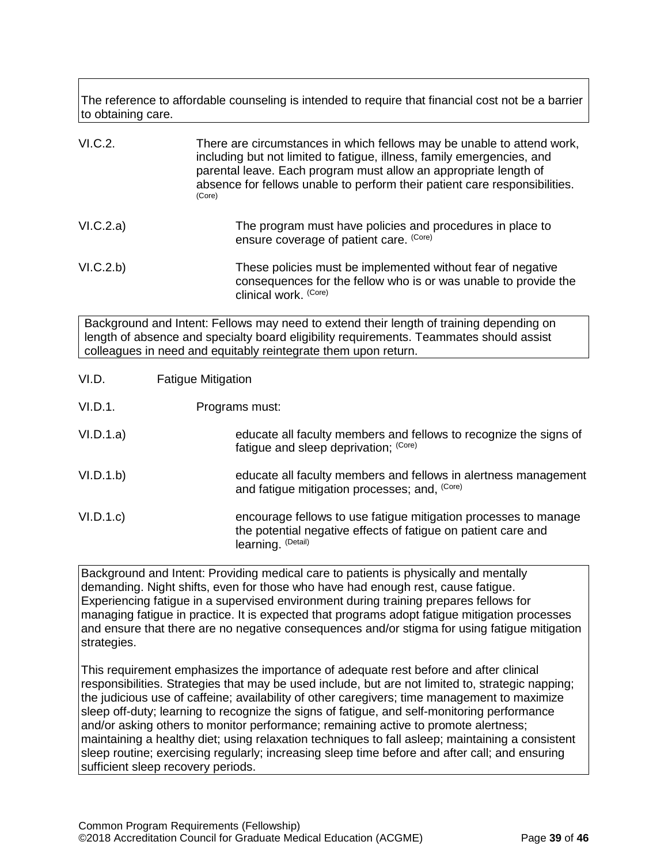The reference to affordable counseling is intended to require that financial cost not be a barrier to obtaining care.

| VI.C.2.                                                                                                                                                                                                                                              | There are circumstances in which fellows may be unable to attend work,<br>including but not limited to fatigue, illness, family emergencies, and<br>parental leave. Each program must allow an appropriate length of<br>absence for fellows unable to perform their patient care responsibilities.<br>(Core) |  |
|------------------------------------------------------------------------------------------------------------------------------------------------------------------------------------------------------------------------------------------------------|--------------------------------------------------------------------------------------------------------------------------------------------------------------------------------------------------------------------------------------------------------------------------------------------------------------|--|
| VI.C.2.a)                                                                                                                                                                                                                                            | The program must have policies and procedures in place to<br>ensure coverage of patient care. (Core)                                                                                                                                                                                                         |  |
| VI.C.2.b)                                                                                                                                                                                                                                            | These policies must be implemented without fear of negative<br>consequences for the fellow who is or was unable to provide the<br>clinical work. (Core)                                                                                                                                                      |  |
| Background and Intent: Fellows may need to extend their length of training depending on<br>length of absence and specialty board eligibility requirements. Teammates should assist<br>colleagues in need and equitably reintegrate them upon return. |                                                                                                                                                                                                                                                                                                              |  |
| VI.D.                                                                                                                                                                                                                                                | <b>Fatigue Mitigation</b>                                                                                                                                                                                                                                                                                    |  |
| VI.D.1.                                                                                                                                                                                                                                              | Programs must:                                                                                                                                                                                                                                                                                               |  |
| VI.D.1.a)                                                                                                                                                                                                                                            | educate all faculty members and fellows to recognize the signs of<br>fatigue and sleep deprivation; (Core)                                                                                                                                                                                                   |  |

- <span id="page-38-0"></span>VI.D.1.b) educate all faculty members and fellows in alertness management and fatigue mitigation processes; and, <sup>(Core)</sup>
- VI.D.1.c) encourage fellows to use fatigue mitigation processes to manage the potential negative effects of fatigue on patient care and learning. (Detail)

Background and Intent: Providing medical care to patients is physically and mentally demanding. Night shifts, even for those who have had enough rest, cause fatigue. Experiencing fatigue in a supervised environment during training prepares fellows for managing fatigue in practice. It is expected that programs adopt fatigue mitigation processes and ensure that there are no negative consequences and/or stigma for using fatigue mitigation strategies.

This requirement emphasizes the importance of adequate rest before and after clinical responsibilities. Strategies that may be used include, but are not limited to, strategic napping; the judicious use of caffeine; availability of other caregivers; time management to maximize sleep off-duty; learning to recognize the signs of fatigue, and self-monitoring performance and/or asking others to monitor performance; remaining active to promote alertness; maintaining a healthy diet; using relaxation techniques to fall asleep; maintaining a consistent sleep routine; exercising regularly; increasing sleep time before and after call; and ensuring sufficient sleep recovery periods.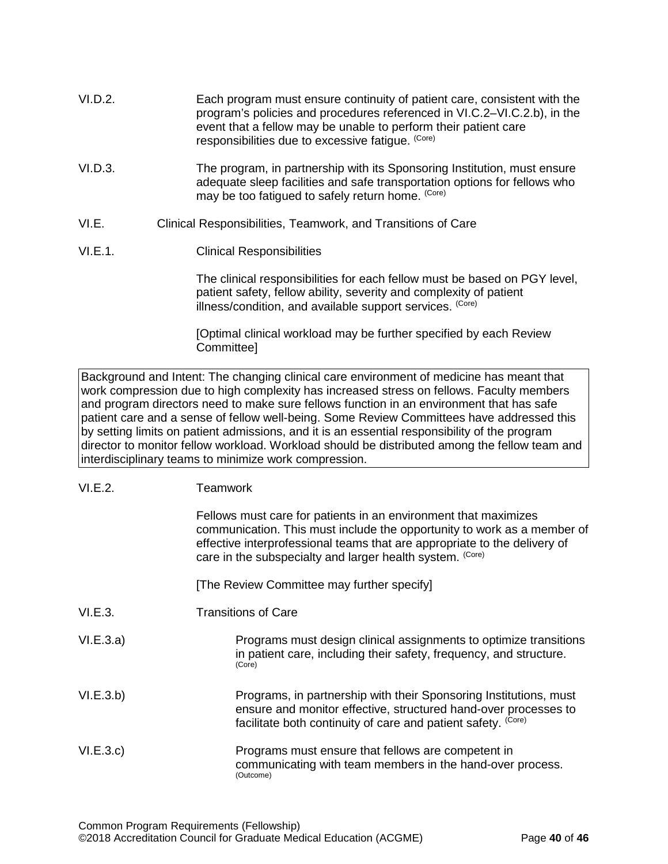- VI.D.2. Each program must ensure continuity of patient care, consistent with the program's policies and procedures referenced in VI.C.2–VI.C.2.b), in the event that a fellow may be unable to perform their patient care responsibilities due to excessive fatigue. (Core)
- VI.D.3. The program, in partnership with its Sponsoring Institution, must ensure adequate sleep facilities and safe transportation options for fellows who may be too fatigued to safely return home. (Core)
- <span id="page-39-0"></span>VI.E. Clinical Responsibilities, Teamwork, and Transitions of Care
- VI.E.1. Clinical Responsibilities

The clinical responsibilities for each fellow must be based on PGY level, patient safety, fellow ability, severity and complexity of patient illness/condition, and available support services. (Core)

[Optimal clinical workload may be further specified by each Review Committee]

Background and Intent: The changing clinical care environment of medicine has meant that work compression due to high complexity has increased stress on fellows. Faculty members and program directors need to make sure fellows function in an environment that has safe patient care and a sense of fellow well-being. Some Review Committees have addressed this by setting limits on patient admissions, and it is an essential responsibility of the program director to monitor fellow workload. Workload should be distributed among the fellow team and interdisciplinary teams to minimize work compression.

| VI.E.2. | <b>Teamwork</b> |
|---------|-----------------|
|---------|-----------------|

|           | Fellows must care for patients in an environment that maximizes<br>communication. This must include the opportunity to work as a member of<br>effective interprofessional teams that are appropriate to the delivery of<br>care in the subspecialty and larger health system. (Core) |
|-----------|--------------------------------------------------------------------------------------------------------------------------------------------------------------------------------------------------------------------------------------------------------------------------------------|
|           | [The Review Committee may further specify]                                                                                                                                                                                                                                           |
| VI.E.3.   | Transitions of Care                                                                                                                                                                                                                                                                  |
| VI.E.3.a) | Programs must design clinical assignments to optimize transitions<br>in patient care, including their safety, frequency, and structure.<br>(Core)                                                                                                                                    |
| VI.E.3.b) | Programs, in partnership with their Sponsoring Institutions, must<br>ensure and monitor effective, structured hand-over processes to<br>facilitate both continuity of care and patient safety. (Core)                                                                                |
| VI.E.3.c  | Programs must ensure that fellows are competent in<br>communicating with team members in the hand-over process.<br>(Outcome)                                                                                                                                                         |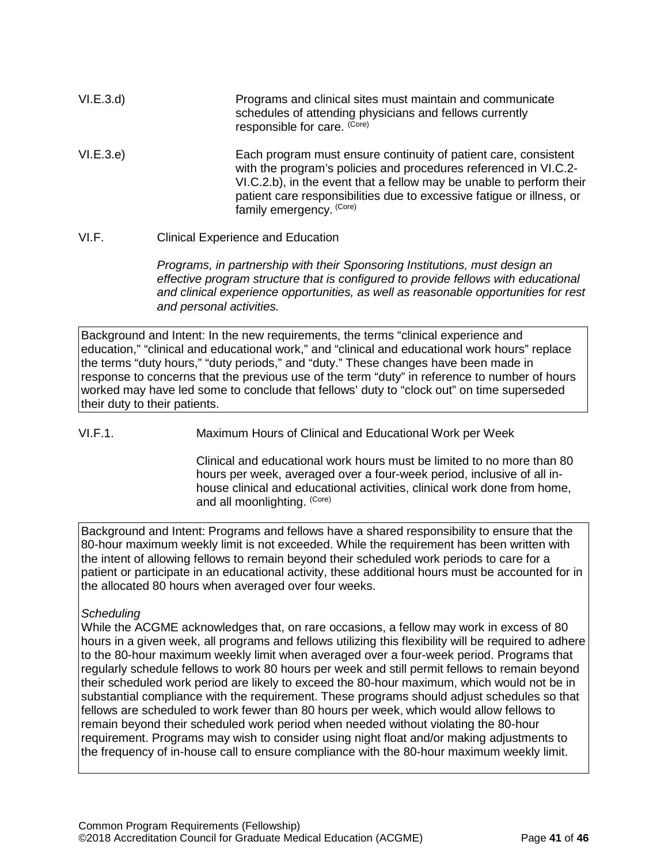| VI.E.3.d  | Programs and clinical sites must maintain and communicate<br>schedules of attending physicians and fellows currently<br>responsible for care. (Core)                                                                                                                                                             |
|-----------|------------------------------------------------------------------------------------------------------------------------------------------------------------------------------------------------------------------------------------------------------------------------------------------------------------------|
| VI.E.3.e) | Each program must ensure continuity of patient care, consistent<br>with the program's policies and procedures referenced in VI.C.2-<br>VI.C.2.b), in the event that a fellow may be unable to perform their<br>patient care responsibilities due to excessive fatigue or illness, or<br>family emergency. (Core) |

<span id="page-40-0"></span>VI.F. Clinical Experience and Education

*Programs, in partnership with their Sponsoring Institutions, must design an effective program structure that is configured to provide fellows with educational and clinical experience opportunities, as well as reasonable opportunities for rest and personal activities.*

Background and Intent: In the new requirements, the terms "clinical experience and education," "clinical and educational work," and "clinical and educational work hours" replace the terms "duty hours," "duty periods," and "duty." These changes have been made in response to concerns that the previous use of the term "duty" in reference to number of hours worked may have led some to conclude that fellows' duty to "clock out" on time superseded their duty to their patients.

VI.F.1. Maximum Hours of Clinical and Educational Work per Week

Clinical and educational work hours must be limited to no more than 80 hours per week, averaged over a four-week period, inclusive of all inhouse clinical and educational activities, clinical work done from home, and all moonlighting. (Core)

Background and Intent: Programs and fellows have a shared responsibility to ensure that the 80-hour maximum weekly limit is not exceeded. While the requirement has been written with the intent of allowing fellows to remain beyond their scheduled work periods to care for a patient or participate in an educational activity, these additional hours must be accounted for in the allocated 80 hours when averaged over four weeks.

# *Scheduling*

While the ACGME acknowledges that, on rare occasions, a fellow may work in excess of 80 hours in a given week, all programs and fellows utilizing this flexibility will be required to adhere to the 80-hour maximum weekly limit when averaged over a four-week period. Programs that regularly schedule fellows to work 80 hours per week and still permit fellows to remain beyond their scheduled work period are likely to exceed the 80-hour maximum, which would not be in substantial compliance with the requirement. These programs should adjust schedules so that fellows are scheduled to work fewer than 80 hours per week, which would allow fellows to remain beyond their scheduled work period when needed without violating the 80-hour requirement. Programs may wish to consider using night float and/or making adjustments to the frequency of in-house call to ensure compliance with the 80-hour maximum weekly limit.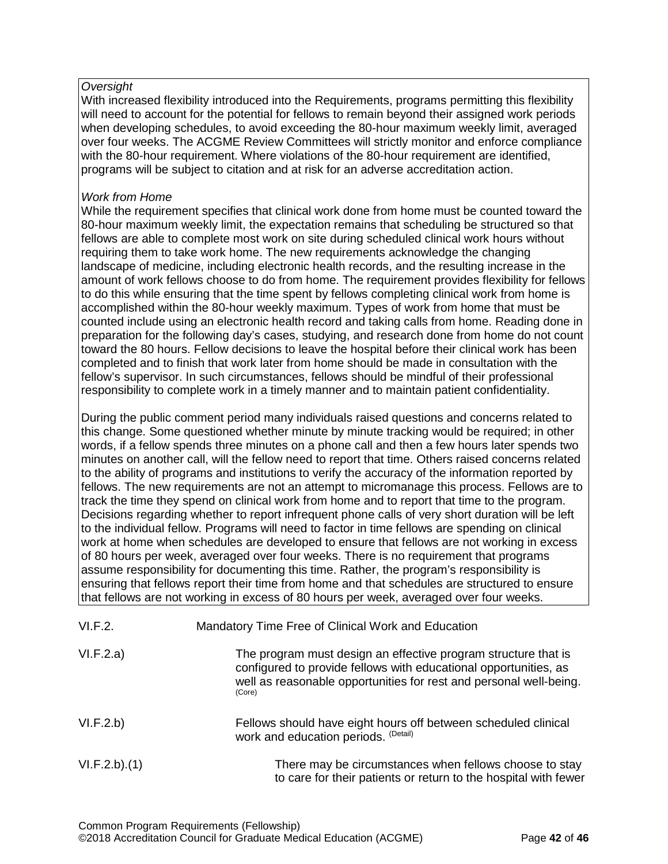# *Oversight*

With increased flexibility introduced into the Requirements, programs permitting this flexibility will need to account for the potential for fellows to remain beyond their assigned work periods when developing schedules, to avoid exceeding the 80-hour maximum weekly limit, averaged over four weeks. The ACGME Review Committees will strictly monitor and enforce compliance with the 80-hour requirement. Where violations of the 80-hour requirement are identified, programs will be subject to citation and at risk for an adverse accreditation action.

# *Work from Home*

While the requirement specifies that clinical work done from home must be counted toward the 80-hour maximum weekly limit, the expectation remains that scheduling be structured so that fellows are able to complete most work on site during scheduled clinical work hours without requiring them to take work home. The new requirements acknowledge the changing landscape of medicine, including electronic health records, and the resulting increase in the amount of work fellows choose to do from home. The requirement provides flexibility for fellows to do this while ensuring that the time spent by fellows completing clinical work from home is accomplished within the 80-hour weekly maximum. Types of work from home that must be counted include using an electronic health record and taking calls from home. Reading done in preparation for the following day's cases, studying, and research done from home do not count toward the 80 hours. Fellow decisions to leave the hospital before their clinical work has been completed and to finish that work later from home should be made in consultation with the fellow's supervisor. In such circumstances, fellows should be mindful of their professional responsibility to complete work in a timely manner and to maintain patient confidentiality.

During the public comment period many individuals raised questions and concerns related to this change. Some questioned whether minute by minute tracking would be required; in other words, if a fellow spends three minutes on a phone call and then a few hours later spends two minutes on another call, will the fellow need to report that time. Others raised concerns related to the ability of programs and institutions to verify the accuracy of the information reported by fellows. The new requirements are not an attempt to micromanage this process. Fellows are to track the time they spend on clinical work from home and to report that time to the program. Decisions regarding whether to report infrequent phone calls of very short duration will be left to the individual fellow. Programs will need to factor in time fellows are spending on clinical work at home when schedules are developed to ensure that fellows are not working in excess of 80 hours per week, averaged over four weeks. There is no requirement that programs assume responsibility for documenting this time. Rather, the program's responsibility is ensuring that fellows report their time from home and that schedules are structured to ensure that fellows are not working in excess of 80 hours per week, averaged over four weeks.

| VI.F.2.      | Mandatory Time Free of Clinical Work and Education                                                                                                                                                                 |
|--------------|--------------------------------------------------------------------------------------------------------------------------------------------------------------------------------------------------------------------|
| VI.F.2.a)    | The program must design an effective program structure that is<br>configured to provide fellows with educational opportunities, as<br>well as reasonable opportunities for rest and personal well-being.<br>(Core) |
| VI.F.2.b)    | Fellows should have eight hours off between scheduled clinical<br>work and education periods. (Detail)                                                                                                             |
| VI.F.2.b)(1) | There may be circumstances when fellows choose to stay<br>to care for their patients or return to the hospital with fewer                                                                                          |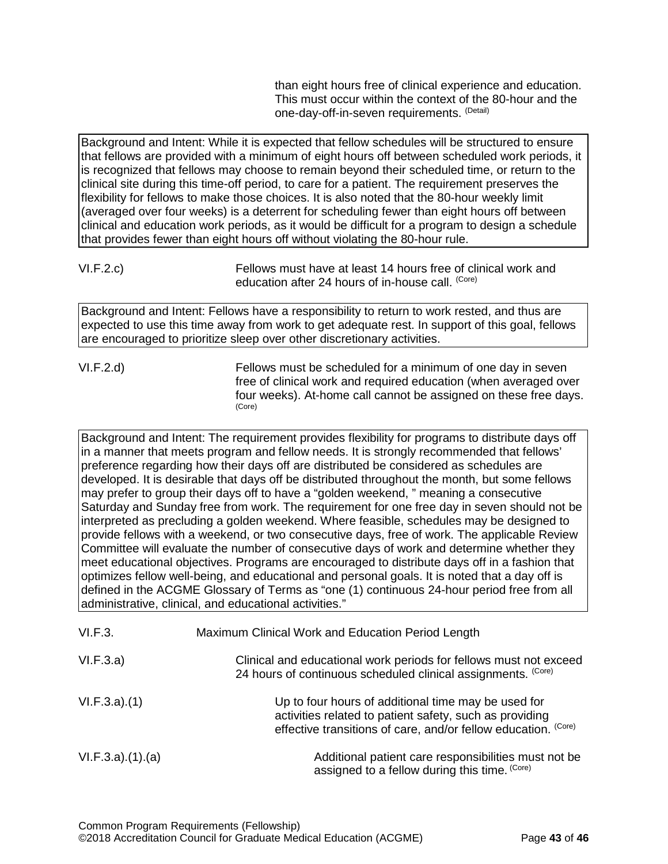than eight hours free of clinical experience and education. This must occur within the context of the 80-hour and the one-day-off-in-seven requirements. (Detail)

Background and Intent: While it is expected that fellow schedules will be structured to ensure that fellows are provided with a minimum of eight hours off between scheduled work periods, it is recognized that fellows may choose to remain beyond their scheduled time, or return to the clinical site during this time-off period, to care for a patient. The requirement preserves the flexibility for fellows to make those choices. It is also noted that the 80-hour weekly limit (averaged over four weeks) is a deterrent for scheduling fewer than eight hours off between clinical and education work periods, as it would be difficult for a program to design a schedule that provides fewer than eight hours off without violating the 80-hour rule.

Background and Intent: Fellows have a responsibility to return to work rested, and thus are expected to use this time away from work to get adequate rest. In support of this goal, fellows are encouraged to prioritize sleep over other discretionary activities.

VI.F.2.d) Fellows must be scheduled for a minimum of one day in seven free of clinical work and required education (when averaged over four weeks). At-home call cannot be assigned on these free days. (Core)

Background and Intent: The requirement provides flexibility for programs to distribute days off in a manner that meets program and fellow needs. It is strongly recommended that fellows' preference regarding how their days off are distributed be considered as schedules are developed. It is desirable that days off be distributed throughout the month, but some fellows may prefer to group their days off to have a "golden weekend, " meaning a consecutive Saturday and Sunday free from work. The requirement for one free day in seven should not be interpreted as precluding a golden weekend. Where feasible, schedules may be designed to provide fellows with a weekend, or two consecutive days, free of work. The applicable Review Committee will evaluate the number of consecutive days of work and determine whether they meet educational objectives. Programs are encouraged to distribute days off in a fashion that optimizes fellow well-being, and educational and personal goals. It is noted that a day off is defined in the ACGME Glossary of Terms as "one (1) continuous 24-hour period free from all administrative, clinical, and educational activities."

| VI.F.3.         | Maximum Clinical Work and Education Period Length                                                                                                                                |
|-----------------|----------------------------------------------------------------------------------------------------------------------------------------------------------------------------------|
| VI.F.3.a)       | Clinical and educational work periods for fellows must not exceed<br>24 hours of continuous scheduled clinical assignments. (Core)                                               |
| VI.F.3.a)(1)    | Up to four hours of additional time may be used for<br>activities related to patient safety, such as providing<br>effective transitions of care, and/or fellow education. (Core) |
| VI.F.3.a)(1)(a) | Additional patient care responsibilities must not be<br>assigned to a fellow during this time. (Core)                                                                            |

VI.F.2.c) Fellows must have at least 14 hours free of clinical work and education after 24 hours of in-house call. (Core)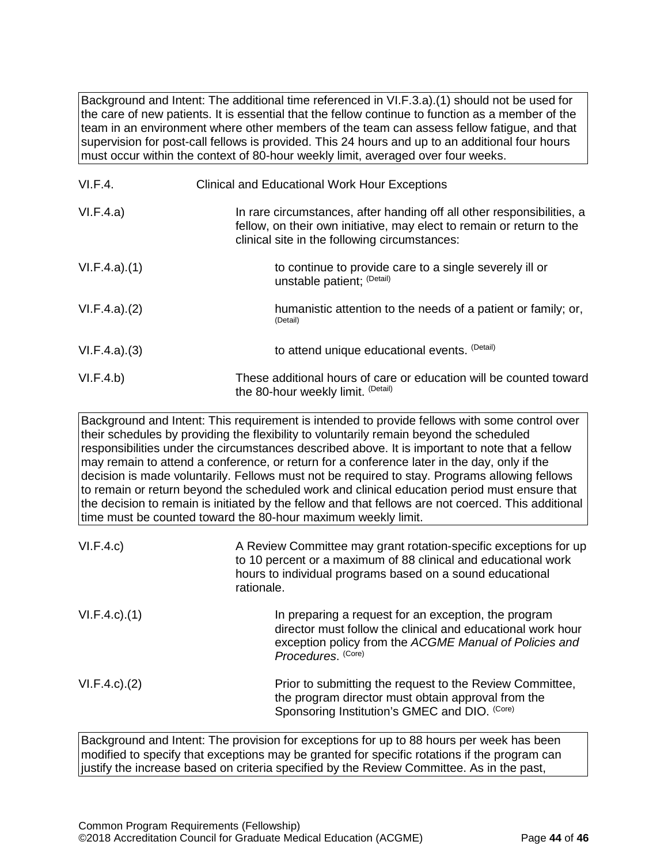Background and Intent: The additional time referenced in VI.F.3.a).(1) should not be used for the care of new patients. It is essential that the fellow continue to function as a member of the team in an environment where other members of the team can assess fellow fatigue, and that supervision for post-call fellows is provided. This 24 hours and up to an additional four hours must occur within the context of 80-hour weekly limit, averaged over four weeks.

| VI.F.4.      | <b>Clinical and Educational Work Hour Exceptions</b>                                                                                                                                             |
|--------------|--------------------------------------------------------------------------------------------------------------------------------------------------------------------------------------------------|
| VI.F.4.a)    | In rare circumstances, after handing off all other responsibilities, a<br>fellow, on their own initiative, may elect to remain or return to the<br>clinical site in the following circumstances: |
| VI.F.4.a)(1) | to continue to provide care to a single severely ill or<br>unstable patient; (Detail)                                                                                                            |
| VI.F.4.a)(2) | humanistic attention to the needs of a patient or family; or,<br>(Detail)                                                                                                                        |
| VI.F.4.a)(3) | to attend unique educational events. (Detail)                                                                                                                                                    |
| VI.F.4.b)    | These additional hours of care or education will be counted toward<br>the 80-hour weekly limit. (Detail)                                                                                         |

Background and Intent: This requirement is intended to provide fellows with some control over their schedules by providing the flexibility to voluntarily remain beyond the scheduled responsibilities under the circumstances described above. It is important to note that a fellow may remain to attend a conference, or return for a conference later in the day, only if the decision is made voluntarily. Fellows must not be required to stay. Programs allowing fellows to remain or return beyond the scheduled work and clinical education period must ensure that the decision to remain is initiated by the fellow and that fellows are not coerced. This additional time must be counted toward the 80-hour maximum weekly limit.

| VI.F.4.c)          | A Review Committee may grant rotation-specific exceptions for up<br>to 10 percent or a maximum of 88 clinical and educational work<br>hours to individual programs based on a sound educational<br>rationale. |
|--------------------|---------------------------------------------------------------------------------------------------------------------------------------------------------------------------------------------------------------|
| $VI.F.4.c$ . $(1)$ | In preparing a request for an exception, the program<br>director must follow the clinical and educational work hour<br>exception policy from the ACGME Manual of Policies and<br>Procedures. (Core)           |
| $VI.F.4.c$ . $(2)$ | Prior to submitting the request to the Review Committee,<br>the program director must obtain approval from the<br>Sponsoring Institution's GMEC and DIO. (Core)                                               |

Background and Intent: The provision for exceptions for up to 88 hours per week has been modified to specify that exceptions may be granted for specific rotations if the program can justify the increase based on criteria specified by the Review Committee. As in the past,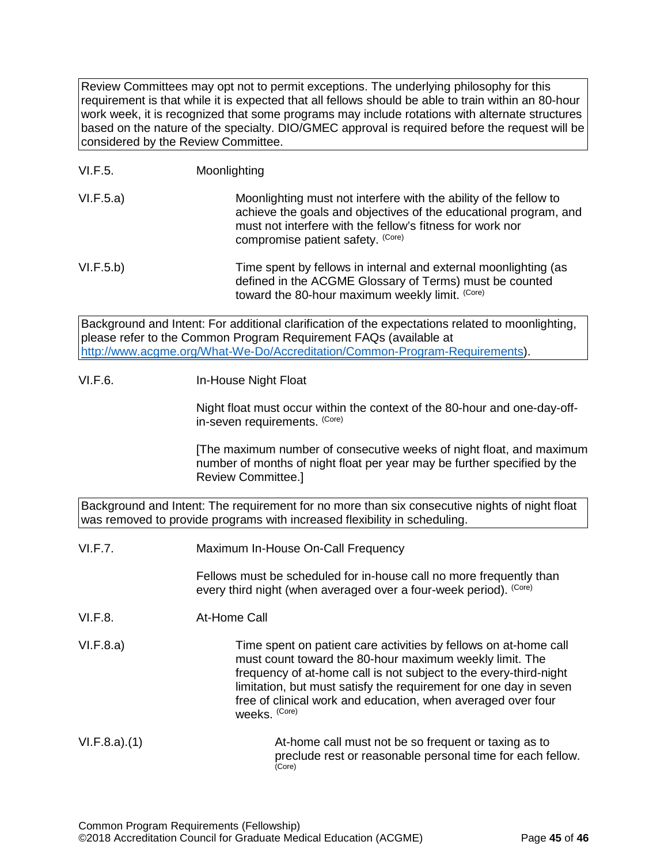Review Committees may opt not to permit exceptions. The underlying philosophy for this requirement is that while it is expected that all fellows should be able to train within an 80-hour work week, it is recognized that some programs may include rotations with alternate structures based on the nature of the specialty. DIO/GMEC approval is required before the request will be considered by the Review Committee.

# VI.F.5. Moonlighting

VI.F.5.a) Moonlighting must not interfere with the ability of the fellow to achieve the goals and objectives of the educational program, and must not interfere with the fellow's fitness for work nor compromise patient safety. (Core)

VI.F.5.b) Time spent by fellows in internal and external moonlighting (as defined in the ACGME Glossary of Terms) must be counted toward the 80-hour maximum weekly limit. (Core)

Background and Intent: For additional clarification of the expectations related to moonlighting, please refer to the Common Program Requirement FAQs (available at [http://www.acgme.org/What-We-Do/Accreditation/Common-Program-Requirements\)](http://www.acgme.org/What-We-Do/Accreditation/Common-Program-Requirements).

# VI.F.6. In-House Night Float

Night float must occur within the context of the 80-hour and one-day-offin-seven requirements. (Core)

[The maximum number of consecutive weeks of night float, and maximum number of months of night float per year may be further specified by the Review Committee.]

Background and Intent: The requirement for no more than six consecutive nights of night float was removed to provide programs with increased flexibility in scheduling.

VI.F.7. Maximum In-House On-Call Frequency

Fellows must be scheduled for in-house call no more frequently than every third night (when averaged over a four-week period). (Core)

VI.F.8. At-Home Call

VI.F.8.a) Time spent on patient care activities by fellows on at-home call must count toward the 80-hour maximum weekly limit. The frequency of at-home call is not subject to the every-third-night limitation, but must satisfy the requirement for one day in seven free of clinical work and education, when averaged over four weeks. (Core)

VI.F.8.a).(1) At-home call must not be so frequent or taxing as to preclude rest or reasonable personal time for each fellow.<br>(Core)